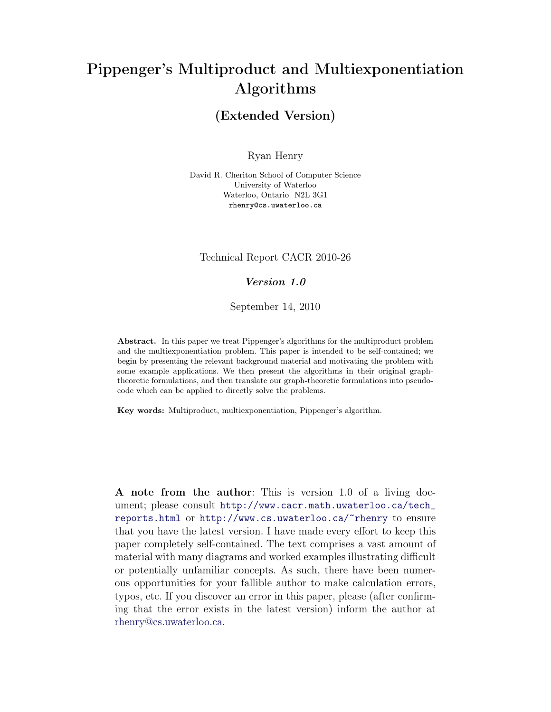# Pippenger's Multiproduct and Multiexponentiation Algorithms

## (Extended Version)

Ryan Henry

David R. Cheriton School of Computer Science University of Waterloo Waterloo, Ontario N2L 3G1 rhenry@cs.uwaterloo.ca

#### Technical Report CACR 2010-26

#### Version 1.0

September 14, 2010

Abstract. In this paper we treat Pippenger's algorithms for the multiproduct problem and the multiexponentiation problem. This paper is intended to be self-contained; we begin by presenting the relevant background material and motivating the problem with some example applications. We then present the algorithms in their original graphtheoretic formulations, and then translate our graph-theoretic formulations into pseudocode which can be applied to directly solve the problems.

Key words: Multiproduct, multiexponentiation, Pippenger's algorithm.

A note from the author: This is version 1.0 of a living document; please consult [http://www.cacr.math.uwaterloo.ca/tech\\_](http://www.cacr.math.uwaterloo.ca/tech_reports.html) [reports.html](http://www.cacr.math.uwaterloo.ca/tech_reports.html) or <http://www.cs.uwaterloo.ca/~rhenry> to ensure that you have the latest version. I have made every effort to keep this paper completely self-contained. The text comprises a vast amount of material with many diagrams and worked examples illustrating difficult or potentially unfamiliar concepts. As such, there have been numerous opportunities for your fallible author to make calculation errors, typos, etc. If you discover an error in this paper, please (after confirming that the error exists in the latest version) inform the author at [rhenry@cs.uwaterloo.ca.](mailto:rhenry@cs.uwaterloo.ca)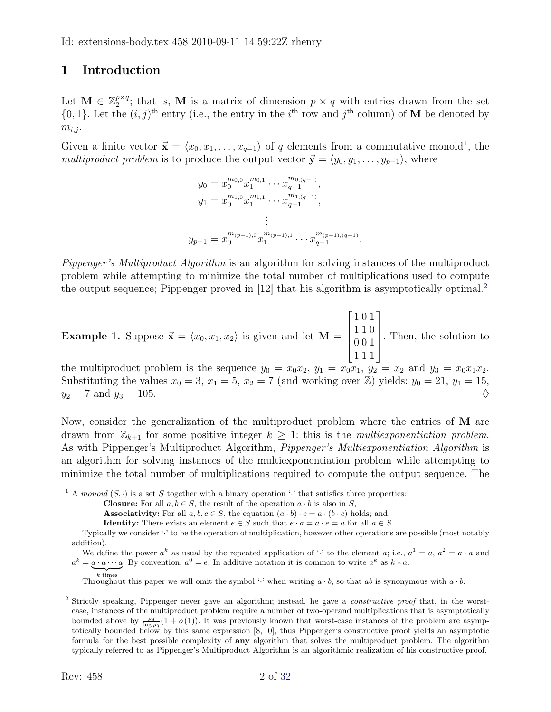## <span id="page-1-2"></span>1 Introduction

Let  $\mathbf{M} \in \mathbb{Z}_2^{p \times q}$  $2^{p \times q}$ ; that is, M is a matrix of dimension  $p \times q$  with entries drawn from the set  $\{0,1\}$ . Let the  $(i, j)$ <sup>th</sup> entry (i.e., the entry in the i<sup>th</sup> row and j<sup>th</sup> column) of M be denoted by  $m_{i,j}$ .

Given a finite vector  $\vec{\mathbf{x}} = \langle x_0, x_1, \ldots, x_{q-1} \rangle$  $\vec{\mathbf{x}} = \langle x_0, x_1, \ldots, x_{q-1} \rangle$  $\vec{\mathbf{x}} = \langle x_0, x_1, \ldots, x_{q-1} \rangle$  of q elements from a commutative monoid<sup>1</sup>, the multiproduct problem is to produce the output vector  $\vec{y} = \langle y_0, y_1, \ldots, y_{p-1} \rangle$ , where

$$
y_0 = x_0^{m_{0,0}} x_1^{m_{0,1}} \cdots x_{q-1}^{m_{0,(q-1)}},
$$
  
\n
$$
y_1 = x_0^{m_{1,0}} x_1^{m_{1,1}} \cdots x_{q-1}^{m_{1,(q-1)}},
$$
  
\n
$$
\vdots
$$
  
\n
$$
y_{p-1} = x_0^{m_{(p-1),0}} x_1^{m_{(p-1),1}} \cdots x_{q-1}^{m_{(p-1),(q-1)}}.
$$

Pippenger's Multiproduct Algorithm is an algorithm for solving instances of the multiproduct problem while attempting to minimize the total number of multiplications used to compute the output sequence; Pippenger proved in [\[12\]](#page-31-0) that his algorithm is asymptotically optimal.<sup>[2](#page-1-1)</sup>

**Example 1.** Suppose 
$$
\vec{\mathbf{x}} = \langle x_0, x_1, x_2 \rangle
$$
 is given and let  $\mathbf{M} = \begin{bmatrix} 1 & 0 & 1 \\ 1 & 1 & 0 \\ 0 & 0 & 1 \\ 1 & 1 & 1 \end{bmatrix}$ . Then, the solution to

the multiproduct problem is the sequence  $y_0 = x_0x_2$ ,  $y_1 = x_0x_1$ ,  $y_2 = x_2$  and  $y_3 = x_0x_1x_2$ . Substituting the values  $x_0 = 3$ ,  $x_1 = 5$ ,  $x_2 = 7$  (and working over Z) yields:  $y_0 = 21$ ,  $y_1 = 15$ ,  $y_2 = 7$  and  $y_3 = 105$ .

Now, consider the generalization of the multiproduct problem where the entries of M are drawn from  $\mathbb{Z}_{k+1}$  for some positive integer  $k \geq 1$ : this is the *multiexponentiation problem*. As with Pippenger's Multiproduct Algorithm, *Pippenger's Multiexponentiation Algorithm* is an algorithm for solving instances of the multiexponentiation problem while attempting to minimize the total number of multiplications required to compute the output sequence. The

<span id="page-1-0"></span><sup>1</sup> A monoid  $(S, \cdot)$  is a set S together with a binary operation '<sup>'</sup> that satisfies three properties:

**Closure:** For all  $a, b \in S$ , the result of the operation  $a \cdot b$  is also in S,

**Associativity:** For all  $a, b, c \in S$ , the equation  $(a \cdot b) \cdot c = a \cdot (b \cdot c)$  holds; and,

**Identity:** There exists an element  $e \in S$  such that  $e \cdot a = a \cdot e = a$  for all  $a \in S$ .

We define the power  $a^k$  as usual by the repeated application of  $\cdot \cdot$  to the element  $a$ ; i.e.,  $a^1 = a$ ,  $a^2 = a \cdot a$  and  $a^k = a \cdot a \cdots a$ . By convention,  $a^0 = e$ . In additive notation it is common to write  $a^k$  as  $k * a$ .

 $\overline{k}$  times Throughout this paper we will omit the symbol '' when writing  $a \cdot b$ , so that ab is synonymous with  $a \cdot b$ .

<span id="page-1-1"></span><sup>2</sup> Strictly speaking, Pippenger never gave an algorithm; instead, he gave a *constructive proof* that, in the worstcase, instances of the multiproduct problem require a number of two-operand multiplications that is asymptotically bounded above by  $\frac{pq}{\log pq}(1 + o(1))$ . It was previously known that worst-case instances of the problem are asymptotically bounded below by this same expression [\[8,](#page-30-0) [10\]](#page-30-1), thus Pippenger's constructive proof yields an asymptotic formula for the best possible complexity of any algorithm that solves the multiproduct problem. The algorithm typically referred to as Pippenger's Multiproduct Algorithm is an algorithmic realization of his constructive proof.

Typically we consider '·' to be the operation of multiplication, however other operations are possible (most notably addition).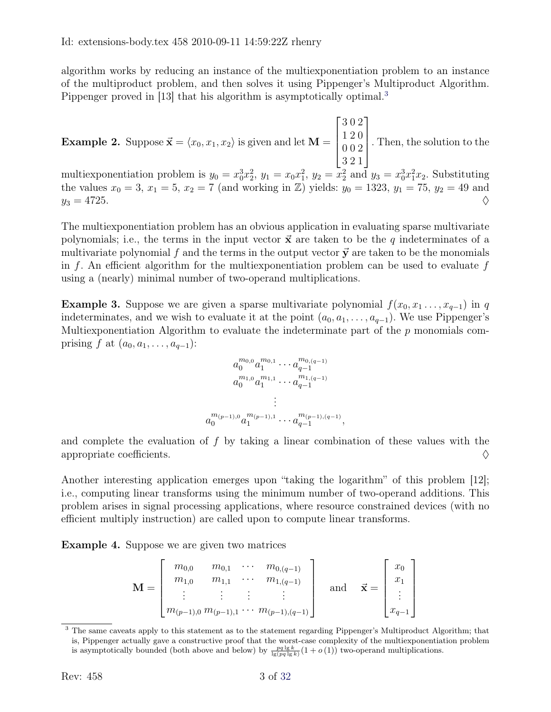algorithm works by reducing an instance of the multiexponentiation problem to an instance of the multiproduct problem, and then solves it using Pippenger's Multiproduct Algorithm. Pippenger proved in [\[13\]](#page-31-2) that his algorithm is asymptotically optimal.<sup>[3](#page-2-0)</sup>

**Example 2.** Suppose  $\vec{x} = \langle x_0, x_1, x_2 \rangle$  is given and let M =  $\sqrt{ }$  $\Bigg\}$ 3 0 2 1 2 0 0 0 2 3 2 1 1  $\overline{\phantom{a}}$ . Then, the solution to the

multiexponentiation problem is  $y_0 = x_0^3 x_2^2$ ,  $y_1 = x_0 x_1^2$ ,  $y_2 = x_2^2$  and  $y_3 = x_0^3 x_1^2 x_2$ . Substituting the values  $x_0 = 3, x_1 = 5, x_2 = 7$  (and working in  $\mathbb{Z}$ ) yields:  $y_0 = 1323, y_1 = 75, y_2 = 49$  and  $y_3 = 4725.$ 

The multiexponentiation problem has an obvious application in evaluating sparse multivariate polynomials; i.e., the terms in the input vector  $\vec{x}$  are taken to be the q indeterminates of a multivariate polynomial f and the terms in the output vector  $\vec{y}$  are taken to be the monomials in f. An efficient algorithm for the multiexponentiation problem can be used to evaluate f using a (nearly) minimal number of two-operand multiplications.

**Example 3.** Suppose we are given a sparse multivariate polynomial  $f(x_0, x_1, \ldots, x_{q-1})$  in q indeterminates, and we wish to evaluate it at the point  $(a_0, a_1, \ldots, a_{q-1})$ . We use Pippenger's Multiexponentiation Algorithm to evaluate the indeterminate part of the  $p$  monomials comprising f at  $(a_0, a_1, \ldots, a_{q-1})$ :

$$
\begin{aligned} a_0^{m_{0,0}}a_1^{m_{0,1}} &\cdots a_{q-1}^{m_{0,(q-1)}}\\ a_0^{m_{1,0}}a_1^{m_{1,1}} &\cdots a_{q-1}^{m_{1,(q-1)}}\\ &\vdots\\ a_0^{m_{(p-1),0}}a_1^{m_{(p-1),1}} &\cdots a_{q-1}^{m_{(p-1),(q-1)}}, \end{aligned}
$$

and complete the evaluation of f by taking a linear combination of these values with the appropriate coefficients.  $\Diamond$ 

Another interesting application emerges upon "taking the logarithm" of this problem [\[12\]](#page-31-0); i.e., computing linear transforms using the minimum number of two-operand additions. This problem arises in signal processing applications, where resource constrained devices (with no efficient multiply instruction) are called upon to compute linear transforms.

Example 4. Suppose we are given two matrices

$$
\mathbf{M} = \begin{bmatrix} m_{0,0} & m_{0,1} & \cdots & m_{0,(q-1)} \\ m_{1,0} & m_{1,1} & \cdots & m_{1,(q-1)} \\ \vdots & \vdots & \vdots & \vdots \\ m_{(p-1),0} & m_{(p-1),1} & \cdots & m_{(p-1),(q-1)} \end{bmatrix} \text{ and } \vec{\mathbf{x}} = \begin{bmatrix} x_0 \\ x_1 \\ \vdots \\ x_{q-1} \end{bmatrix}
$$

<span id="page-2-0"></span><sup>&</sup>lt;sup>3</sup> The same caveats apply to this statement as to the statement regarding Pippenger's Multiproduct Algorithm; that is, Pippenger actually gave a constructive proof that the worst-case complexity of the multiexponentiation problem is asymptotically bounded (both above and below) by  $\frac{pq \lg k}{\lg(pq \lg k)}(1 + o(1))$  two-operand multiplications.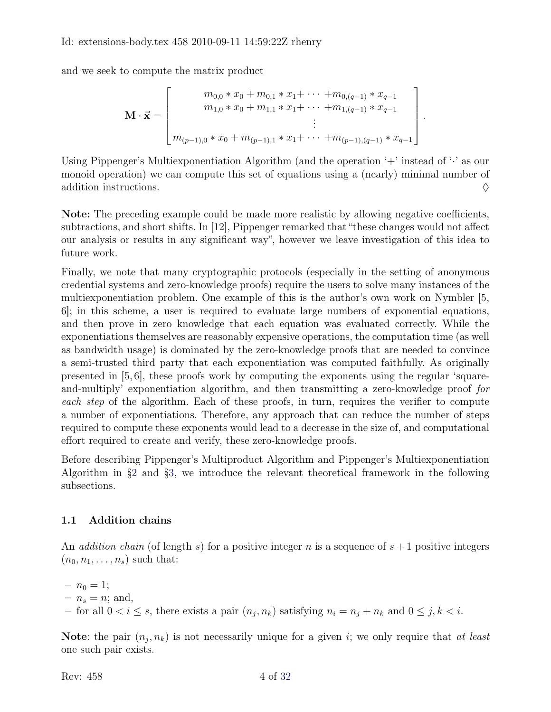and we seek to compute the matrix product

$$
\mathbf{M} \cdot \vec{\mathbf{x}} = \begin{bmatrix} m_{0,0} * x_0 + m_{0,1} * x_1 + \cdots + m_{0,(q-1)} * x_{q-1} \\ m_{1,0} * x_0 + m_{1,1} * x_1 + \cdots + m_{1,(q-1)} * x_{q-1} \\ \vdots \\ m_{(p-1),0} * x_0 + m_{(p-1),1} * x_1 + \cdots + m_{(p-1),(q-1)} * x_{q-1} \end{bmatrix}.
$$

Using Pippenger's Multiexponentiation Algorithm (and the operation '+' instead of ' $\cdot$ ' as our monoid operation) we can compute this set of equations using a (nearly) minimal number of addition instructions.  $\Diamond$ 

Note: The preceding example could be made more realistic by allowing negative coefficients, subtractions, and short shifts. In [\[12\]](#page-31-0), Pippenger remarked that "these changes would not affect our analysis or results in any significant way", however we leave investigation of this idea to future work.

Finally, we note that many cryptographic protocols (especially in the setting of anonymous credential systems and zero-knowledge proofs) require the users to solve many instances of the multiexponentiation problem. One example of this is the author's own work on Nymbler [\[5,](#page-30-2) [6\]](#page-30-3); in this scheme, a user is required to evaluate large numbers of exponential equations, and then prove in zero knowledge that each equation was evaluated correctly. While the exponentiations themselves are reasonably expensive operations, the computation time (as well as bandwidth usage) is dominated by the zero-knowledge proofs that are needed to convince a semi-trusted third party that each exponentiation was computed faithfully. As originally presented in [\[5,](#page-30-2) [6\]](#page-30-3), these proofs work by computing the exponents using the regular 'squareand-multiply' exponentiation algorithm, and then transmitting a zero-knowledge proof for each step of the algorithm. Each of these proofs, in turn, requires the verifier to compute a number of exponentiations. Therefore, any approach that can reduce the number of steps required to compute these exponents would lead to a decrease in the size of, and computational effort required to create and verify, these zero-knowledge proofs.

Before describing Pippenger's Multiproduct Algorithm and Pippenger's Multiexponentiation Algorithm in [§2](#page-12-0) and [§3,](#page-26-0) we introduce the relevant theoretical framework in the following subsections.

### 1.1 Addition chains

An *addition chain* (of length s) for a positive integer n is a sequence of  $s + 1$  positive integers  $(n_0, n_1, \ldots, n_s)$  such that:

 $- n_0 = 1;$  $- n_s = n$ ; and, for all  $0 < i \leq s$ , there exists a pair  $(n_j, n_k)$  satisfying  $n_i = n_j + n_k$  and  $0 \leq j, k < i$ .

Note: the pair  $(n_j, n_k)$  is not necessarily unique for a given i; we only require that at least one such pair exists.

<span id="page-3-0"></span>Rev:  $458$  4 of [32](#page-31-1)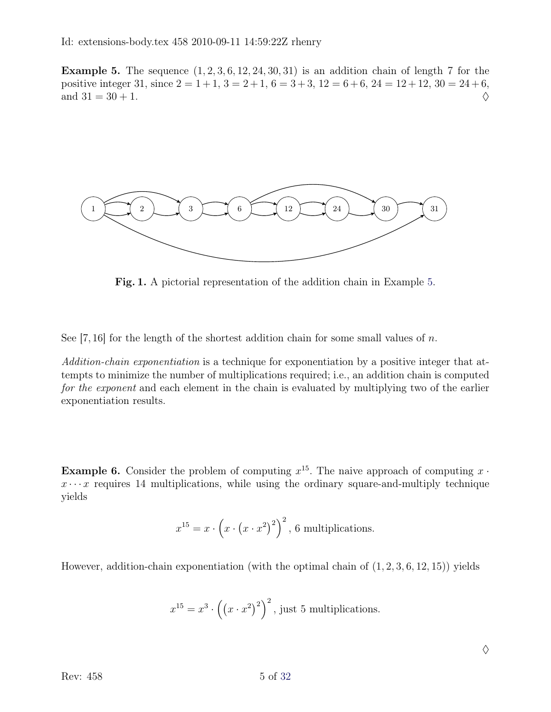**Example 5.** The sequence  $(1, 2, 3, 6, 12, 24, 30, 31)$  is an addition chain of length 7 for the positive integer 31, since  $2 = 1 + 1$ ,  $3 = 2 + 1$ ,  $6 = 3 + 3$ ,  $12 = 6 + 6$ ,  $24 = 12 + 12$ ,  $30 = 24 + 6$ , and  $31 = 30 + 1$ .



<span id="page-4-0"></span>Fig. 1. A pictorial representation of the addition chain in Example [5.](#page-3-0)

See [\[7,](#page-30-4)[16\]](#page-31-3) for the length of the shortest addition chain for some small values of  $n$ .

Addition-chain exponentiation is a technique for exponentiation by a positive integer that attempts to minimize the number of multiplications required; i.e., an addition chain is computed for the exponent and each element in the chain is evaluated by multiplying two of the earlier exponentiation results.

**Example 6.** Consider the problem of computing  $x^{15}$ . The naive approach of computing  $x \cdot$  $x \cdots x$  requires 14 multiplications, while using the ordinary square-and-multiply technique yields

$$
x^{15} = x \cdot \left(x \cdot \left(x \cdot x^2\right)^2\right)^2, \, 6 \text{ multiplications.}
$$

However, addition-chain exponentiation (with the optimal chain of  $(1, 2, 3, 6, 12, 15)$ ) yields

$$
x^{15} = x^3 \cdot \left( \left( x \cdot x^2 \right)^2 \right)^2
$$
, just 5 multiplications.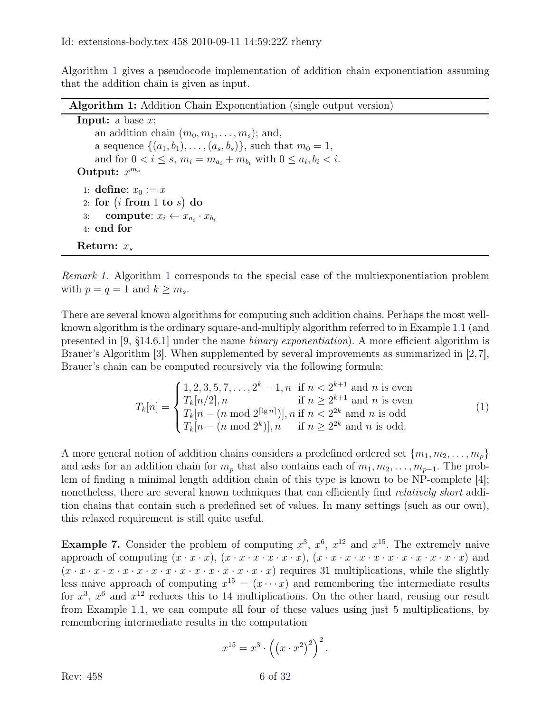Algorithm [1](#page-5-0) gives a pseudocode implementation of addition chain exponentiation assuming that the addition chain is given as input.

<span id="page-5-0"></span>Algorithm 1: Addition Chain Exponentiation (single output version) **Input:** a base  $x$ ; an addition chain  $(m_0, m_1, \ldots, m_s)$ ; and, a sequence  $\{(a_1, b_1), \ldots, (a_s, b_s)\}\$ , such that  $m_0 = 1$ , and for  $0 < i \leq s$ ,  $m_i = m_{a_i} + m_{b_i}$  with  $0 \leq a_i, b_i < i$ . Output:  $x^{m_s}$ 1: define:  $x_0 := x$  $\left( 2\right)$  for  $\left( i\right. \, \mathrm{from}\, \, 1\,$  to  $s\right) \, \mathrm{do}$ 3: compute:  $x_i \leftarrow x_{a_i} \cdot x_{b_i}$ 4: end for Return:  $x_s$ 

Remark 1. Algorithm [1](#page-5-0) corresponds to the special case of the multiexponentiation problem with  $p = q = 1$  and  $k \geq m_s$ .

There are several known algorithms for computing such addition chains. Perhaps the most wellknown algorithm is the ordinary square-and-multiply algorithm referred to in Example [1.1](#page-4-0) (and presented in [\[9,](#page-30-5) §14.6.1] under the name binary exponentiation). A more efficient algorithm is Brauer's Algorithm [\[3\]](#page-30-6). When supplemented by several improvements as summarized in [\[2,](#page-30-7)[7\]](#page-30-4), Brauer's chain can be computed recursively via the following formula:

<span id="page-5-1"></span>
$$
T_k[n] = \begin{cases} 1, 2, 3, 5, 7, \dots, 2^k - 1, n & \text{if } n < 2^{k+1} \text{ and } n \text{ is even} \\ T_k[n/2], n & \text{if } n \ge 2^{k+1} \text{ and } n \text{ is even} \\ T_k[n - (n \mod 2^{\lceil \lg n \rceil})], n & \text{if } n < 2^{2k} \text{ and } n \text{ is odd} \\ T_k[n - (n \mod 2^k)], n & \text{if } n \ge 2^{2k} \text{ and } n \text{ is odd.} \end{cases}
$$
(1)

A more general notion of addition chains considers a predefined ordered set  ${m_1, m_2, \ldots, m_p}$ and asks for an addition chain for  $m_p$  that also contains each of  $m_1, m_2, \ldots, m_{p-1}$ . The problem of finding a minimal length addition chain of this type is known to be NP-complete [\[4\]](#page-30-8); nonetheless, there are several known techniques that can efficiently find *relatively short* addition chains that contain such a predefined set of values. In many settings (such as our own), this relaxed requirement is still quite useful.

**Example 7.** Consider the problem of computing  $x^3$ ,  $x^6$ ,  $x^{12}$  and  $x^{15}$ . The extremely naive approach of computing  $(x \cdot x \cdot x)$ ,  $(x \cdot x \cdot x \cdot x \cdot x)$ ,  $(x \cdot x \cdot x \cdot x \cdot x \cdot x \cdot x \cdot x \cdot x \cdot x \cdot x \cdot x$  and (x · x · x · x · x · x · x · x · x · x · x · x · x · x · x) requires 31 multiplications, while the slightly less naive approach of computing  $x^{15} = (x \cdots x)$  and remembering the intermediate results for  $x^3$ ,  $x^6$  and  $x^{12}$  reduces this to 14 multiplications. On the other hand, reusing our result from Example [1.1,](#page-4-0) we can compute all four of these values using just 5 multiplications, by remembering intermediate results in the computation

$$
x^{15} = x^3 \cdot \left( \left( x \cdot x^2 \right)^2 \right)^2.
$$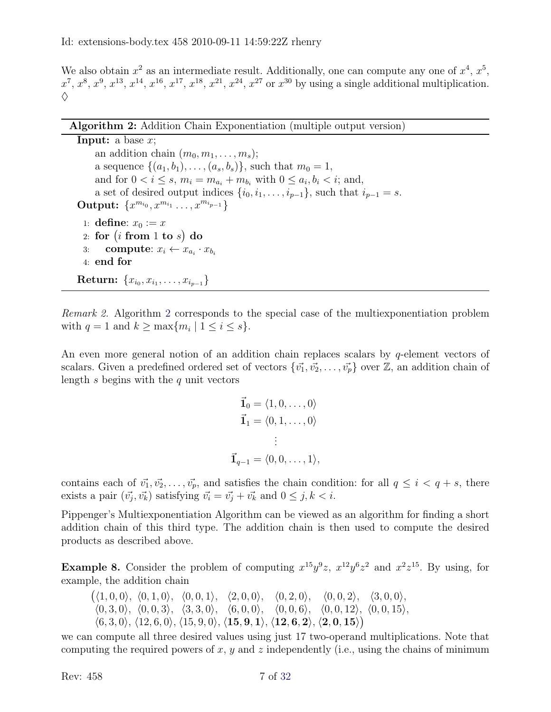We also obtain  $x^2$  as an intermediate result. Additionally, one can compute any one of  $x^4, x^5$ ,  $x^7, x^8, x^9, x^{13}, x^{14}, x^{16}, x^{17}, x^{18}, x^{21}, x^{24}, x^{27}$  or  $x^{30}$  by using a single additional multiplication.  $\Diamond$ 

<span id="page-6-0"></span>**Input:** a base  $x$ ; an addition chain  $(m_0, m_1, \ldots, m_s);$ a sequence  $\{(a_1, b_1), \ldots, (a_s, b_s)\}\$ , such that  $m_0 = 1$ , and for  $0 < i \leq s$ ,  $m_i = m_{a_i} + m_{b_i}$  with  $0 \leq a_i, b_i < i$ ; and, a set of desired output indices  $\{i_0, i_1, \ldots, i_{p-1}\}$ , such that  $i_{p-1} = s$ . Output:  $\{x^{m_{i_0}}, x^{m_{i_1}} \ldots, x^{m_{i_{p-1}}}\}$ 1: define:  $x_0 := x$  $\left( 2\right)$  for  $\left( i\right. \, \mathrm{from}\, \, 1\,$  to  $s\right) \, \mathrm{do}$ 3: compute:  $x_i \leftarrow x_{a_i} \cdot x_{b_i}$ 4: end for  $\textbf{Return: } \{x_{i_0}, x_{i_1}, \ldots, x_{i_{p-1}}\}$ 

Remark 2. Algorithm [2](#page-6-0) corresponds to the special case of the multiexponentiation problem with  $q = 1$  and  $k \ge \max\{m_i \mid 1 \le i \le s\}.$ 

An even more general notion of an addition chain replaces scalars by  $q$ -element vectors of scalars. Given a predefined ordered set of vectors  $\{\vec{v_1}, \vec{v_2}, \ldots, \vec{v_n}\}$  over  $\mathbb{Z}$ , an addition chain of length  $s$  begins with the  $q$  unit vectors

$$
\vec{1}_0 = \langle 1, 0, \dots, 0 \rangle
$$
  
\n
$$
\vec{1}_1 = \langle 0, 1, \dots, 0 \rangle
$$
  
\n
$$
\vdots
$$
  
\n
$$
\vec{1}_{q-1} = \langle 0, 0, \dots, 1 \rangle,
$$

contains each of  $\vec{v_1}, \vec{v_2}, \dots, \vec{v_p}$ , and satisfies the chain condition: for all  $q \leq i < q+s$ , there exists a pair  $(\vec{v_j}, \vec{v_k})$  satisfying  $\vec{v_i} = \vec{v_j} + \vec{v_k}$  and  $0 \leq j, k < i$ .

Pippenger's Multiexponentiation Algorithm can be viewed as an algorithm for finding a short addition chain of this third type. The addition chain is then used to compute the desired products as described above.

**Example 8.** Consider the problem of computing  $x^{15}y^9z$ ,  $x^{12}y^6z^2$  and  $x^2z^{15}$ . By using, for example, the addition chain

 $(\langle 1, 0, 0 \rangle, \langle 0, 1, 0 \rangle, \langle 0, 0, 1 \rangle, \langle 2, 0, 0 \rangle, \langle 0, 2, 0 \rangle, \langle 0, 0, 2 \rangle, \langle 3, 0, 0 \rangle,$  $\langle 0, 3, 0 \rangle$ ,  $\langle 0, 0, 3 \rangle$ ,  $\langle 3, 3, 0 \rangle$ ,  $\langle 6, 0, 0 \rangle$ ,  $\langle 0, 0, 6 \rangle$ ,  $\langle 0, 0, 12 \rangle$ ,  $\langle 0, 0, 15 \rangle$ ,  $\langle 6, 3, 0 \rangle$ ,  $\langle 12, 6, 0 \rangle$ ,  $\langle 15, 9, 0 \rangle$ ,  $\langle 15, 9, 1 \rangle$ ,  $\langle 12, 6, 2 \rangle$ ,  $\langle 2, 0, 15 \rangle$ )

we can compute all three desired values using just 17 two-operand multiplications. Note that computing the required powers of x, y and z independently (i.e., using the chains of minimum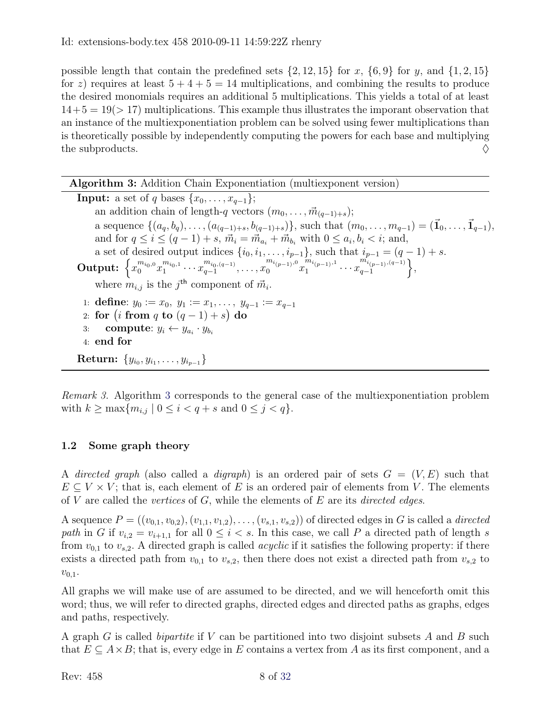possible length that contain the predefined sets  $\{2, 12, 15\}$  for x,  $\{6, 9\}$  for y, and  $\{1, 2, 15\}$ for z) requires at least  $5 + 4 + 5 = 14$  multiplications, and combining the results to produce the desired monomials requires an additional 5 multiplications. This yields a total of at least  $14+5 = 19(> 17)$  multiplications. This example thus illustrates the imporant observation that an instance of the multiexponentiation problem can be solved using fewer multiplications than is theoretically possible by independently computing the powers for each base and multiplying the subproducts.  $\Diamond$ 

Algorithm 3: Addition Chain Exponentiation (multiexponent version)

<span id="page-7-0"></span>**Input:** a set of q bases  $\{x_0, \ldots, x_{q-1}\};$ an addition chain of length-q vectors  $(m_0, \ldots, \vec{m}_{(q-1)+s});$ a sequence  $\{(a_q, b_q), \ldots, (a_{(q-1)+s}, b_{(q-1)+s})\}$ , such that  $(m_0, \ldots, m_{q-1}) = (\vec{1}_0, \ldots, \vec{1}_{q-1}),$ and for  $q \le i \le (q-1) + s$ ,  $\vec{m}_i = \vec{m}_{a_i} + \vec{m}_{b_i}$  with  $0 \le a_i, b_i < i$ ; and, a set of desired output indices  $\{i_0, i_1, \ldots, i_{p-1}\}$ , such that  $i_{p-1} = (q-1) + s$ .  $\textbf{Output:} \; \left\{ x_0^{m_{i_0,0}} x_1^{m_{i_0,1}} \cdots x_{q-1}^{m_{i_0,(q-1)}}, \ldots, x_0^{m_{i_{(p-1)},0}} x_1^{m_{i_{(p-1)},1}} \right.$  $\frac{m_{i(p-1)},1}{1}\cdots\frac{m_{i(p-1)},(q-1)}{q-1}$  $\begin{matrix} m_{i_{(p-1)},(q-1)} \ q-1 \end{matrix},$ where  $m_{i,j}$  is the j<sup>th</sup> component of  $\vec{m}_i$ . 1: **define**:  $y_0 := x_0, y_1 := x_1, \ldots, y_{q-1} := x_{q-1}$ 2: for  $(i \text{ from } q \text{ to } (q-1) + s)$  do 3: compute:  $y_i \leftarrow y_{a_i} \cdot y_{b_i}$ 4: end for  ${\rm Return}\colon\,\{y_{i_0},y_{i_1},\ldots,y_{i_{p-1}}\}$ 

Remark 3. Algorithm [3](#page-7-0) corresponds to the general case of the multiexponentiation problem with  $k \ge \max\{m_{i,j} \mid 0 \le i < q + s \text{ and } 0 \le j < q\}.$ 

### 1.2 Some graph theory

A directed graph (also called a digraph) is an ordered pair of sets  $G = (V, E)$  such that  $E \subseteq V \times V$ ; that is, each element of E is an ordered pair of elements from V. The elements of V are called the *vertices* of  $G$ , while the elements of  $E$  are its *directed edges*.

A sequence  $P = ((v_{0,1}, v_{0,2}), (v_{1,1}, v_{1,2}), \ldots, (v_{s,1}, v_{s,2}))$  of directed edges in G is called a *directed* path in G if  $v_{i,2} = v_{i+1,1}$  for all  $0 \leq i < s$ . In this case, we call P a directed path of length s from  $v_{0,1}$  to  $v_{s,2}$ . A directed graph is called *acyclic* if it satisfies the following property: if there exists a directed path from  $v_{0,1}$  to  $v_{s,2}$ , then there does not exist a directed path from  $v_{s,2}$  to  $v_{0,1}$ .

All graphs we will make use of are assumed to be directed, and we will henceforth omit this word; thus, we will refer to directed graphs, directed edges and directed paths as graphs, edges and paths, respectively.

A graph G is called *bipartite* if V can be partitioned into two disjoint subsets A and B such that  $E \subseteq A \times B$ ; that is, every edge in E contains a vertex from A as its first component, and a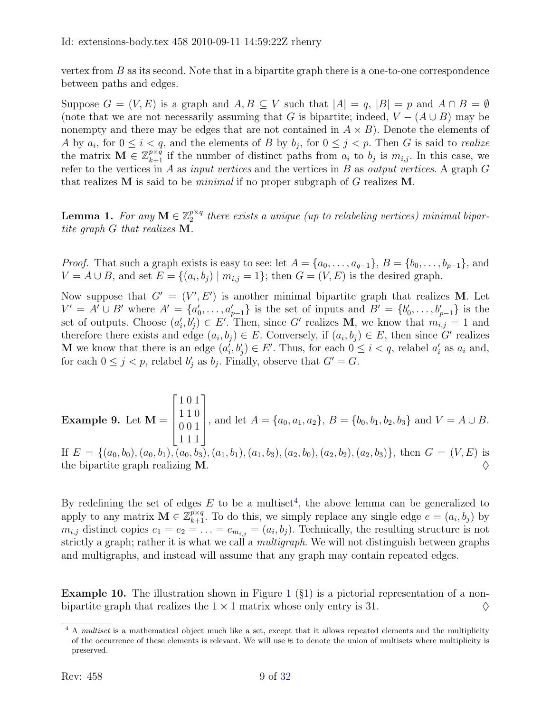vertex from  $B$  as its second. Note that in a bipartite graph there is a one-to-one correspondence between paths and edges.

Suppose  $G = (V, E)$  is a graph and  $A, B \subseteq V$  such that  $|A| = q$ ,  $|B| = p$  and  $A \cap B = \emptyset$ (note that we are not necessarily assuming that G is bipartite; indeed,  $V - (A \cup B)$  may be nonempty and there may be edges that are not contained in  $A \times B$ ). Denote the elements of A by  $a_i$ , for  $0 \le i < q$ , and the elements of B by  $b_j$ , for  $0 \le j < p$ . Then G is said to *realize* the matrix  $\mathbf{M} \in \mathbb{Z}_{k+1}^{p \times q}$  if the number of distinct paths from  $a_i$  to  $b_j$  is  $m_{i,j}$ . In this case, we refer to the vertices in A as *input vertices* and the vertices in B as *output vertices*. A graph  $G$ that realizes  $M$  is said to be *minimal* if no proper subgraph of  $G$  realizes  $M$ .

**Lemma 1.** For any  $M \in \mathbb{Z}_2^{p \times q}$  $\mathbb{R}^{p \times q}_{2}$  there exists a unique (up to relabeling vertices) minimal bipartite graph G that realizes M.

*Proof.* That such a graph exists is easy to see: let  $A = \{a_0, \ldots, a_{q-1}\}, B = \{b_0, \ldots, b_{p-1}\},\$ and  $V = A \cup B$ , and set  $E = \{(a_i, b_j) | m_{i,j} = 1\}$ ; then  $G = (V, E)$  is the desired graph.

Now suppose that  $G' = (V', E')$  is another minimal bipartite graph that realizes M. Let  $V' = A' \cup B'$  where  $A' = \{a'_0, \ldots, a'_{p-1}\}\$ is the set of inputs and  $B' = \{b'_0, \ldots, b'_{p-1}\}\$ is the set of outputs. Choose  $(a'_i, b'_j) \in E'$ . Then, since G' realizes M, we know that  $m_{i,j} = 1$  and therefore there exists and edge  $(a_i, b_j) \in E$ . Conversely, if  $(a_i, b_j) \in E$ , then since G' realizes **M** we know that there is an edge  $(a'_i, b'_j) \in E'$ . Thus, for each  $0 \leq i < q$ , relabel  $a'_i$  as  $a_i$  and, for each  $0 \leq j < p$ , relabel  $b'_j$  as  $b_j$ . Finally, observe that  $G' = G$ .

Example 9. Let  $M =$  $\sqrt{ }$  $\overline{\phantom{a}}$ 1 0 1 1 1 0 0 0 1 1 1 1 1  $\begin{matrix} \phantom{-} \end{matrix}$ , and let  $A = \{a_0, a_1, a_2\}, B = \{b_0, b_1, b_2, b_3\}$  and  $V = A \cup B$ . If  $E = \{(a_0, b_0), (a_0, b_1), (a_0, b_3), (a_1, b_1), (a_1, b_3), (a_2, b_0), (a_2, b_2), (a_2, b_3)\},\$  then  $G = (V, E)$  is the bipartite graph realizing  $M$ .

By redefining the set of edges  $E$  to be a multiset<sup>[4](#page-8-0)</sup>, the above lemma can be generalized to apply to any matrix  $\mathbf{M} \in \mathbb{Z}_{k+1}^{p \times q}$ . To do this, we simply replace any single edge  $e = (a_i, b_j)$  by  $m_{i,j}$  distinct copies  $e_1 = e_2 = \ldots = e_{m_{i,j}} = (a_i, b_j)$ . Technically, the resulting structure is not strictly a graph; rather it is what we call a *multigraph*. We will not distinguish between graphs and multigraphs, and instead will assume that any graph may contain repeated edges.

**Example [1](#page-4-0)0.** The illustration shown in Figure 1  $(\S1)$  is a pictorial representation of a nonbipartite graph that realizes the  $1 \times 1$  matrix whose only entry is 31.  $\diamond$ 

<span id="page-8-0"></span><sup>&</sup>lt;sup>4</sup> A *multiset* is a mathematical object much like a set, except that it allows repeated elements and the multiplicity of the occurrence of these elements is relevant. We will use  $\uplus$  to denote the union of multisets where multiplicity is preserved.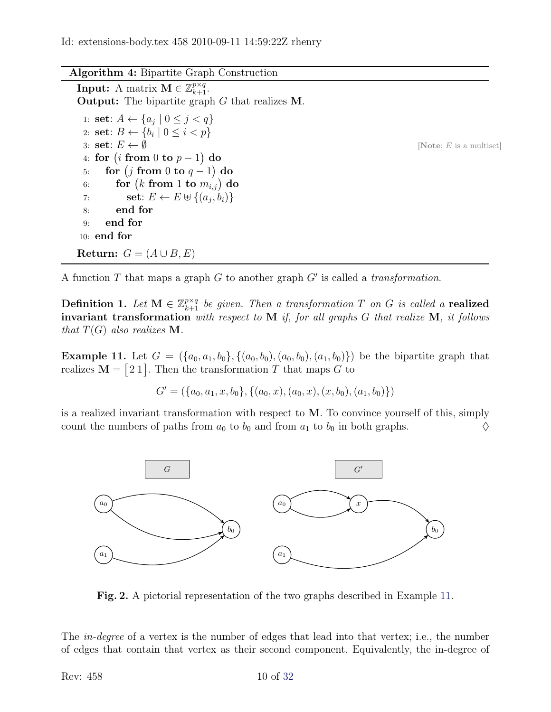#### Algorithm 4: Bipartite Graph Construction

**Input:** A matrix  $\mathbf{M} \in \mathbb{Z}_{k+1}^{p \times q}$ . Output: The bipartite graph G that realizes M.

1: **set**:  $A \leftarrow \{a_j \mid 0 \leq j < q\}$ 2: **set**:  $B \leftarrow \{b_i \mid 0 \leq i < p\}$ 3: **set**:  $E \leftarrow \emptyset$  [Note: E is a multiset] 4: for  $(i \; {\rm from} \; 0 \; {\rm to} \; p-1) \; {\rm do}$  $5: \quad$  for  $(j \; \textbf{from} \; 0 \; \textbf{to} \; q-1) \; \textbf{do}$  $6: \qquad {\bf for}\,\left(k\,\,{\bf from}\,\,1\,\,{\bf to}\,\,m_{i,j}\right)\,{\bf do}$ 7: **set**:  $E \leftarrow E \oplus \{(a_j, b_i)\}$ 8: end for 9: end for 10: end for Return:  $G = (A \cup B, E)$ 

A function  $T$  that maps a graph  $G$  to another graph  $G'$  is called a *transformation*.

**Definition 1.** Let  $M \in \mathbb{Z}_{k+1}^{p \times q}$  be given. Then a transformation T on G is called a realized invariant transformation with respect to  $M$  if, for all graphs  $G$  that realize  $M$ , it follows that  $T(G)$  also realizes **M**.

<span id="page-9-0"></span>**Example 11.** Let  $G = (\{a_0, a_1, b_0\}, \{(a_0, b_0), (a_0, b_0), (a_1, b_0)\})$  be the bipartite graph that realizes  $M = [21]$ . Then the transformation T that maps G to

$$
G' = (\{a_0, a_1, x, b_0\}, \{(a_0, x), (a_0, x), (x, b_0), (a_1, b_0)\})
$$

is a realized invariant transformation with respect to M. To convince yourself of this, simply count the numbers of paths from  $a_0$  to  $b_0$  and from  $a_1$  to  $b_0$  in both graphs.  $\diamond$ 



Fig. 2. A pictorial representation of the two graphs described in Example [11.](#page-9-0)

The in-degree of a vertex is the number of edges that lead into that vertex; i.e., the number of edges that contain that vertex as their second component. Equivalently, the in-degree of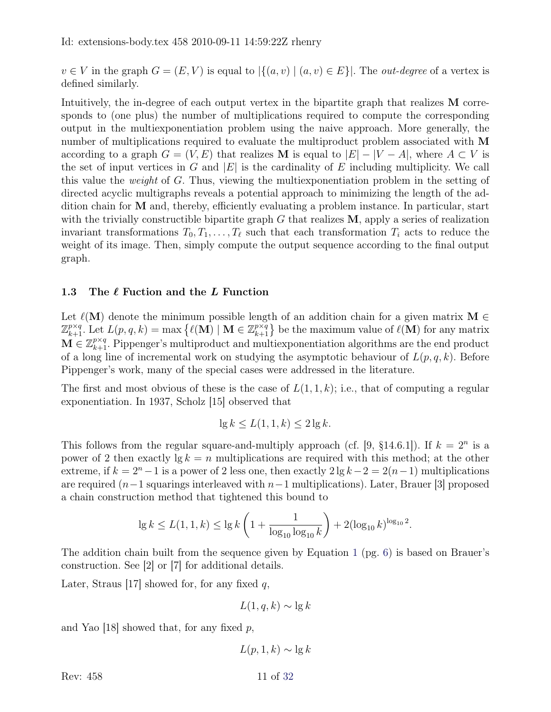$v \in V$  in the graph  $G = (E, V)$  is equal to  $|\{(a, v) \mid (a, v) \in E\}|$ . The *out-degree* of a vertex is defined similarly.

Intuitively, the in-degree of each output vertex in the bipartite graph that realizes M corresponds to (one plus) the number of multiplications required to compute the corresponding output in the multiexponentiation problem using the naive approach. More generally, the number of multiplications required to evaluate the multiproduct problem associated with M according to a graph  $G = (V, E)$  that realizes **M** is equal to  $|E| - |V - A|$ , where  $A \subset V$  is the set of input vertices in G and  $|E|$  is the cardinality of E including multiplicity. We call this value the weight of G. Thus, viewing the multiexponentiation problem in the setting of directed acyclic multigraphs reveals a potential approach to minimizing the length of the addition chain for M and, thereby, efficiently evaluating a problem instance. In particular, start with the trivially constructible bipartite graph  $G$  that realizes  $M$ , apply a series of realization invariant transformations  $T_0, T_1, \ldots, T_\ell$  such that each transformation  $T_i$  acts to reduce the weight of its image. Then, simply compute the output sequence according to the final output graph.

#### 1.3 The  $\ell$  Fuction and the L Function

Let  $\ell(M)$  denote the minimum possible length of an addition chain for a given matrix M ∈  $\mathbb{Z}_{k+1}^{p\times q}$ . Let  $L(p,q,k) = \max \{ \ell(\mathbf{M}) \mid \mathbf{M} \in \mathbb{Z}_{k+1}^{p\times q} \}$  be the maximum value of  $\ell(\mathbf{M})$  for any matrix  $\mathbf{M} \in \mathbb{Z}_{k+1}^{p \times q}$ . Pippenger's multiproduct and multiexponentiation algorithms are the end product of a long line of incremental work on studying the asymptotic behaviour of  $L(p, q, k)$ . Before Pippenger's work, many of the special cases were addressed in the literature.

The first and most obvious of these is the case of  $L(1,1,k)$ ; i.e., that of computing a regular exponentiation. In 1937, Scholz [\[15\]](#page-31-4) observed that

$$
\lg k \le L(1, 1, k) \le 2 \lg k.
$$

This follows from the regular square-and-multiply approach (cf. [\[9,](#page-30-5) §14.6.1]). If  $k = 2^n$  is a power of 2 then exactly  $\lg k = n$  multiplications are required with this method; at the other extreme, if  $k = 2<sup>n</sup> - 1$  is a power of 2 less one, then exactly  $2 \lg k - 2 = 2(n-1)$  multiplications are required (n−1 squarings interleaved with n−1 multiplications). Later, Brauer [\[3\]](#page-30-6) proposed a chain construction method that tightened this bound to

$$
\lg k \le L(1, 1, k) \le \lg k \left( 1 + \frac{1}{\log_{10} \log_{10} k} \right) + 2(\log_{10} k)^{\log_{10} 2}.
$$

The addition chain built from the sequence given by Equation [1](#page-5-1) (pg. [6\)](#page-5-1) is based on Brauer's construction. See [\[2\]](#page-30-7) or [\[7\]](#page-30-4) for additional details.

Later, Straus [\[17\]](#page-31-5) showed for, for any fixed  $q$ ,

 $L(1, q, k) \sim \lg k$ 

and Yao [\[18\]](#page-31-6) showed that, for any fixed  $p$ ,

 $L(p, 1, k) \sim \lg k$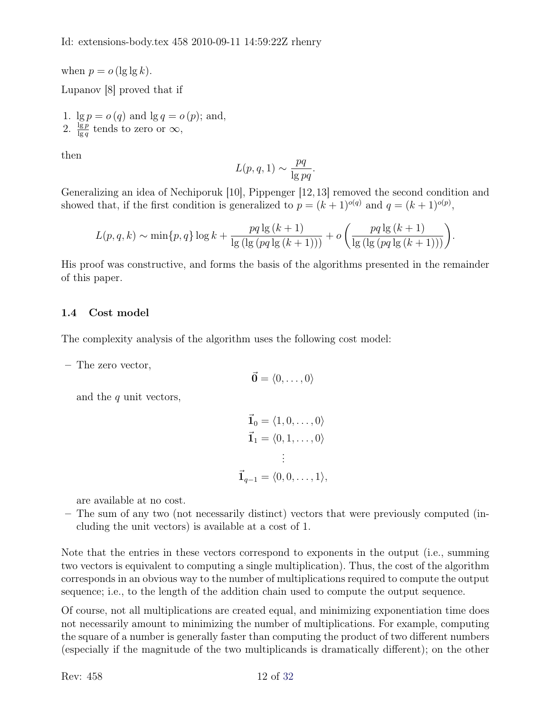when  $p = o(\lg \lg k)$ . Lupanov [\[8\]](#page-30-0) proved that if

1.  $\lg p = o(q)$  and  $\lg q = o(p)$ ; and, 2.  $\frac{\lg p}{\lg q}$  tends to zero or  $\infty$ ,

then

$$
L(p,q,1) \sim \frac{pq}{\lg pq}.
$$

Generalizing an idea of Nechiporuk [\[10\]](#page-30-1), Pippenger [\[12,](#page-31-0)[13\]](#page-31-2) removed the second condition and showed that, if the first condition is generalized to  $p = (k+1)^{o(q)}$  and  $q = (k+1)^{o(p)}$ ,

$$
L(p, q, k) \sim \min\{p, q\} \log k + \frac{pq \lg(k + 1)}{\lg(\lg(pq \lg(k + 1)))} + o\left(\frac{pq \lg(k + 1)}{\lg(\lg(pq \lg(k + 1)))}\right).
$$

His proof was constructive, and forms the basis of the algorithms presented in the remainder of this paper.

### 1.4 Cost model

The complexity analysis of the algorithm uses the following cost model:

– The zero vector,

$$
\vec{\mathbf{0}} = \langle 0, \ldots, 0 \rangle
$$

and the  $q$  unit vectors,

$$
\vec{\mathbf{1}}_0 = \langle 1, 0, \dots, 0 \rangle
$$

$$
\vec{\mathbf{1}}_1 = \langle 0, 1, \dots, 0 \rangle
$$

$$
\vdots
$$

$$
\vec{\mathbf{1}}_{q-1} = \langle 0, 0, \dots, 1 \rangle,
$$

are available at no cost.

– The sum of any two (not necessarily distinct) vectors that were previously computed (including the unit vectors) is available at a cost of 1.

Note that the entries in these vectors correspond to exponents in the output (i.e., summing two vectors is equivalent to computing a single multiplication). Thus, the cost of the algorithm corresponds in an obvious way to the number of multiplications required to compute the output sequence; i.e., to the length of the addition chain used to compute the output sequence.

Of course, not all multiplications are created equal, and minimizing exponentiation time does not necessarily amount to minimizing the number of multiplications. For example, computing the square of a number is generally faster than computing the product of two different numbers (especially if the magnitude of the two multiplicands is dramatically different); on the other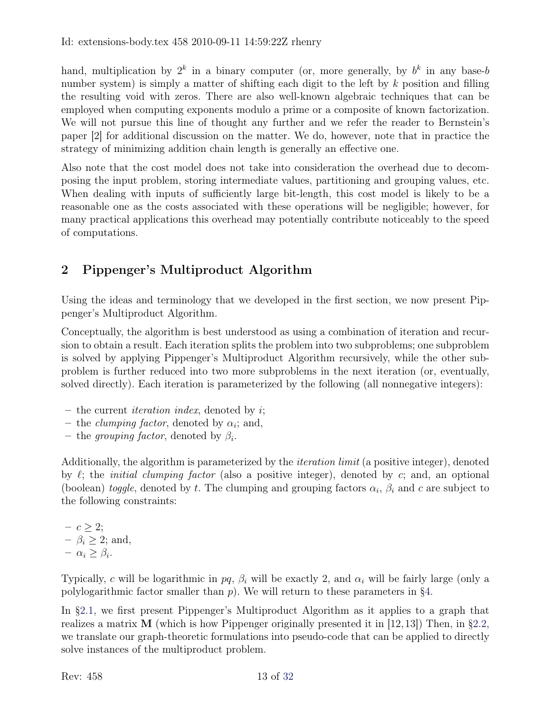hand, multiplication by  $2^k$  in a binary computer (or, more generally, by  $b^k$  in any base-b number system) is simply a matter of shifting each digit to the left by  $k$  position and filling the resulting void with zeros. There are also well-known algebraic techniques that can be employed when computing exponents modulo a prime or a composite of known factorization. We will not pursue this line of thought any further and we refer the reader to Bernstein's paper [\[2\]](#page-30-7) for additional discussion on the matter. We do, however, note that in practice the strategy of minimizing addition chain length is generally an effective one.

Also note that the cost model does not take into consideration the overhead due to decomposing the input problem, storing intermediate values, partitioning and grouping values, etc. When dealing with inputs of sufficiently large bit-length, this cost model is likely to be a reasonable one as the costs associated with these operations will be negligible; however, for many practical applications this overhead may potentially contribute noticeably to the speed of computations.

# <span id="page-12-0"></span>2 Pippenger's Multiproduct Algorithm

Using the ideas and terminology that we developed in the first section, we now present Pippenger's Multiproduct Algorithm.

Conceptually, the algorithm is best understood as using a combination of iteration and recursion to obtain a result. Each iteration splits the problem into two subproblems; one subproblem is solved by applying Pippenger's Multiproduct Algorithm recursively, while the other subproblem is further reduced into two more subproblems in the next iteration (or, eventually, solved directly). Each iteration is parameterized by the following (all nonnegative integers):

- the current *iteration index*, denoted by  $i$ ;
- the *clumping factor*, denoted by  $\alpha_i$ ; and,
- the grouping factor, denoted by  $\beta_i$ .

Additionally, the algorithm is parameterized by the iteration limit (a positive integer), denoted by  $\ell$ ; the *initial clumping factor* (also a positive integer), denoted by c; and, an optional (boolean) toggle, denoted by t. The clumping and grouping factors  $\alpha_i$ ,  $\beta_i$  and c are subject to the following constraints:

 $- c \geq 2;$  $\beta_i \geq 2$ ; and,  $- \alpha_i \geq \beta_i$ .

Typically, c will be logarithmic in pq,  $\beta_i$  will be exactly 2, and  $\alpha_i$  will be fairly large (only a polylogarithmic factor smaller than  $p$ ). We will return to these parameters in [§4.](#page-29-0)

In [§2.1,](#page-13-0) we first present Pippenger's Multiproduct Algorithm as it applies to a graph that realizes a matrix  $\bf{M}$  (which is how Pippenger originally presented it in [\[12,](#page-31-0)[13\]](#page-31-2)) Then, in [§2.2,](#page-19-0) we translate our graph-theoretic formulations into pseudo-code that can be applied to directly solve instances of the multiproduct problem.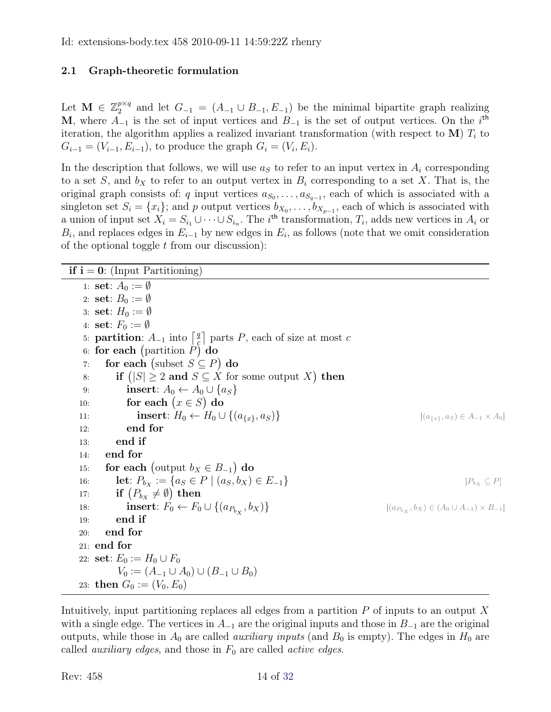### <span id="page-13-0"></span>2.1 Graph-theoretic formulation

Let  $\mathbf{M} \in \mathbb{Z}_2^{p \times q}$  $2^{p \times q}$  and let  $G_{-1} = (A_{-1} \cup B_{-1}, E_{-1})$  be the minimal bipartite graph realizing M, where  $A_{-1}$  is the set of input vertices and  $B_{-1}$  is the set of output vertices. On the i<sup>th</sup> iteration, the algorithm applies a realized invariant transformation (with respect to  $\mathbf{M}$ )  $T_i$  to  $G_{i-1} = (V_{i-1}, E_{i-1}),$  to produce the graph  $G_i = (V_i, E_i).$ 

In the description that follows, we will use  $a<sub>S</sub>$  to refer to an input vertex in  $A<sub>i</sub>$  corresponding to a set S, and  $b<sub>X</sub>$  to refer to an output vertex in  $B<sub>i</sub>$  corresponding to a set X. That is, the original graph consists of: q input vertices  $a_{S_0}, \ldots, a_{S_{q-1}}$ , each of which is associated with a singleton set  $S_i = \{x_i\}$ ; and p output vertices  $b_{X_0}, \ldots, b_{X_{p-1}}$ , each of which is associated with a union of input set  $X_i = S_{i_1} \cup \cdots \cup S_{i_n}$ . The i<sup>th</sup> transformation,  $T_i$ , adds new vertices in  $A_i$  or  $B_i$ , and replaces edges in  $E_{i-1}$  by new edges in  $E_i$ , as follows (note that we omit consideration of the optional toggle  $t$  from our discussion):

| <b>if i</b> = $0$ : (Input Partitioning)                                                         |                                                                     |
|--------------------------------------------------------------------------------------------------|---------------------------------------------------------------------|
| 1: set: $A_0 := \emptyset$                                                                       |                                                                     |
| 2: set: $B_0 := \emptyset$                                                                       |                                                                     |
| 3: set: $H_0 := \emptyset$                                                                       |                                                                     |
| 4: set: $F_0 := \emptyset$                                                                       |                                                                     |
| 5: <b>partition</b> : $A_{-1}$ into $\left  \frac{q}{c} \right $ parts P, each of size at most c |                                                                     |
| 6: for each (partition $P$ ) do                                                                  |                                                                     |
| for each (subset $S \subseteq P$ ) do<br>7:                                                      |                                                                     |
| if $( S  \geq 2$ and $S \subseteq X$ for some output X) then<br>8:                               |                                                                     |
| insert: $A_0 \leftarrow A_0 \cup \{a_S\}$<br>9:                                                  |                                                                     |
| for each $(x \in S)$ do<br>10:                                                                   |                                                                     |
| insert: $H_0 \leftarrow H_0 \cup \{(a_{\{x\}}, a_S)\}\$<br>11:                                   | $[(a_{\{x\}}, a_S) \in A_{-1} \times A_0]$                          |
| end for<br>12:                                                                                   |                                                                     |
| end if<br>13:                                                                                    |                                                                     |
| end for<br>14:                                                                                   |                                                                     |
| for each (output $b_X \in B_{-1}$ ) do<br>15:                                                    |                                                                     |
| <b>let</b> : $P_{b_x} := \{a_S \in P \mid (a_S, b_X) \in E_{-1}\}\$<br>16:                       | $[P_{b_X} \subseteq P]$                                             |
| if $(P_{bx} \neq \emptyset)$ then<br>17:                                                         |                                                                     |
| insert: $F_0 \leftarrow F_0 \cup \{(a_{P_{b\mathbf{v}}}, b_X)\}\$<br>18:                         | $[(a_{P_{b\mathbf{v}}},b_{X}) \in (A_0 \cup A_{-1}) \times B_{-1}]$ |
| end if<br>19:                                                                                    |                                                                     |
| end for<br>20:                                                                                   |                                                                     |
| $21:$ end for                                                                                    |                                                                     |
| 22: <b>set</b> : $E_0 := H_0 \cup F_0$                                                           |                                                                     |
| $V_0 := (A_{-1} \cup A_0) \cup (B_{-1} \cup B_0)$                                                |                                                                     |
| 23: then $G_0 := (V_0, E_0)$                                                                     |                                                                     |

Intuitively, input partitioning replaces all edges from a partition  $P$  of inputs to an output  $X$ with a single edge. The vertices in  $A_{-1}$  are the original inputs and those in  $B_{-1}$  are the original outputs, while those in  $A_0$  are called *auxiliary inputs* (and  $B_0$  is empty). The edges in  $H_0$  are called *auxiliary edges*, and those in  $F_0$  are called *active edges*.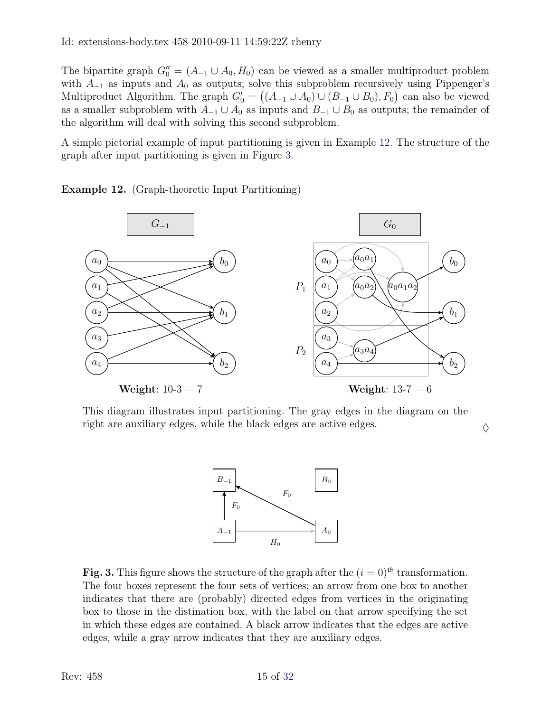The bipartite graph  $G_0'' = (A_{-1} \cup A_0, H_0)$  can be viewed as a smaller multiproduct problem with  $A_{-1}$  as inputs and  $A_0$  as outputs; solve this subproblem recursively using Pippenger's Multiproduct Algorithm. The graph  $G_0' = ((A_{-1} \cup A_0) \cup (B_{-1} \cup B_0), F_0)$  can also be viewed as a smaller subproblem with  $A_{-1} \cup A_0$  as inputs and  $B_{-1} \cup B_0$  as outputs; the remainder of the algorithm will deal with solving this second subproblem.

A simple pictorial example of input partitioning is given in Example [12.](#page-14-0) The structure of the graph after input partitioning is given in Figure [3.](#page-14-1)

<span id="page-14-0"></span>Example 12. (Graph-theoretic Input Partitioning)



This diagram illustrates input partitioning. The gray edges in the diagram on the right are auxiliary edges, while the black edges are active edges.  $\Diamond$ 



<span id="page-14-1"></span>Fig. 3. This figure shows the structure of the graph after the  $(i = 0)$ <sup>th</sup> transformation. The four boxes represent the four sets of vertices; an arrow from one box to another indicates that there are (probably) directed edges from vertices in the originating box to those in the distination box, with the label on that arrow specifying the set in which these edges are contained. A black arrow indicates that the edges are active edges, while a gray arrow indicates that they are auxiliary edges.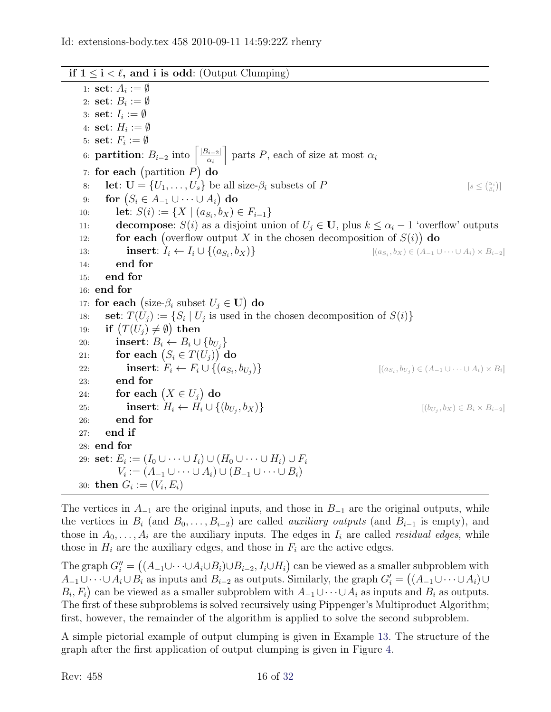#### if  $1 \le i \le \ell$ , and i is odd: (Output Clumping)

1: set:  $A_i := \emptyset$ 2: set:  $B_i := \emptyset$ 3: set:  $I_i := \emptyset$ 4:  $\textbf{set}: H_i := \emptyset$ 5:  $\textbf{set}: F_i := \emptyset$ 6: **partition**:  $B_{i-2}$  into  $\left[\frac{|B_{i-2}|}{\alpha_i}\right]$ αi  $\big]$  parts P, each of size at most  $\alpha_i$ 7: for each (partition  $P$ ) do 8: **let**:  $\mathbf{U} = \{U_1, \ldots, U_s\}$  be all size- $\beta_i$  subsets of P  $\left(\begin{smallmatrix} \alpha_i \\ \beta_i \end{smallmatrix}\right)$ 9: for  $(S_i \in A_{-1} \cup \cdots \cup A_i)$  do 10: **let**:  $S(i) := \{ X \mid (a_{S_i}, b_X) \in F_{i-1} \}$ 11: **decompose**:  $S(i)$  as a disjoint union of  $U_j \in U$ , plus  $k \leq \alpha_i - 1$  'overflow' outputs 12: **for each** (overflow output X in the chosen decomposition of  $S(i)$ ) do 13: **insert**:  $I_i \leftarrow I_i \cup \{(a_{S_i}, b_X)\}$  [[ $(a_{S_i})$ ]  $[(a_{S_i}, b_X) \in (A_{-1} \cup \cdots \cup A_i) \times B_{i-2}]$ 14: end for 15: end for 16: end for 17: for each (size- $\beta_i$  subset  $U_j \in \mathbf{U}$ ) do 18: **set**:  $T(U_j) := \{ S_i \mid U_j \text{ is used in the chosen decomposition of } S(i) \}$ 19: **if**  $(T(U_j) \neq \emptyset)$  then 20: **insert**:  $B_i \leftarrow B_i \cup \{b_{U_j}\}$ 21: for each  $(S_i \in T(U_j))$  do 22: **insert**:  $F_i \leftarrow F_i \cup \{(a_{S_i}, b_{U_j})\}$  $\{\big\}$  [(as<sub>i</sub>)  $(b_{U_j}) \in (A_{-1} \cup \cdots \cup A_i) \times B_i$ 23: end for 24: for each  $(X \in U_j)$  do 25: **insert**:  $H_i \leftarrow H_i \cup \{(b_{U_j}, b_X)\}$  [(b<sub>Uj</sub>)  $[(b_{U_i}, b_X) \in B_i \times B_{i-2}]$ 26: end for 27: end if 28: end for 29:  $\, {\bf set} \colon E_i := (I_0 \cup \dots \cup I_i) \cup (H_0 \cup \dots \cup H_i) \cup F_i$  $V_i := (A_{-1} \cup \cdots \cup A_i) \cup (B_{-1} \cup \cdots \cup B_i)$ 30: **then**  $G_i := (V_i, E_i)$ 

The vertices in  $A_{-1}$  are the original inputs, and those in  $B_{-1}$  are the original outputs, while the vertices in  $B_i$  (and  $B_0, \ldots, B_{i-2}$ ) are called *auxiliary outputs* (and  $B_{i-1}$  is empty), and those in  $A_0, \ldots, A_i$  are the auxiliary inputs. The edges in  $I_i$  are called *residual edges*, while those in  $H_i$  are the auxiliary edges, and those in  $F_i$  are the active edges.

The graph  $G''_i = ((A_{-1} \cup \cdots \cup A_i \cup B_i) \cup B_{i-2}, I_i \cup H_i)$  can be viewed as a smaller subproblem with  $A_{-1}\cup\cdots\cup A_i\cup B_i$  as inputs and  $B_{i-2}$  as outputs. Similarly, the graph  $G_i'=\big((A_{-1}\cup\cdots\cup A_i)\cup B_i\big)$  $B_i, F_i$  can be viewed as a smaller subproblem with  $A_{-1} \cup \cdots \cup A_i$  as inputs and  $B_i$  as outputs. The first of these subproblems is solved recursively using Pippenger's Multiproduct Algorithm; first, however, the remainder of the algorithm is applied to solve the second subproblem.

<span id="page-15-0"></span>A simple pictorial example of output clumping is given in Example [13.](#page-15-0) The structure of the graph after the first application of output clumping is given in Figure [4.](#page-16-0)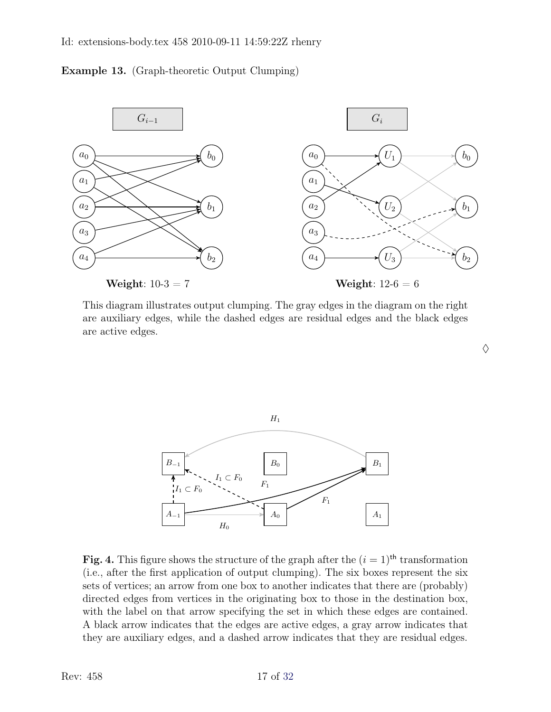#### Id: extensions-body.tex 458 2010-09-11 14:59:22Z rhenry





This diagram illustrates output clumping. The gray edges in the diagram on the right are auxiliary edges, while the dashed edges are residual edges and the black edges are active edges.

 $\Diamond$ 



<span id="page-16-0"></span>Fig. 4. This figure shows the structure of the graph after the  $(i = 1)$ <sup>th</sup> transformation (i.e., after the first application of output clumping). The six boxes represent the six sets of vertices; an arrow from one box to another indicates that there are (probably) directed edges from vertices in the originating box to those in the destination box, with the label on that arrow specifying the set in which these edges are contained. A black arrow indicates that the edges are active edges, a gray arrow indicates that they are auxiliary edges, and a dashed arrow indicates that they are residual edges.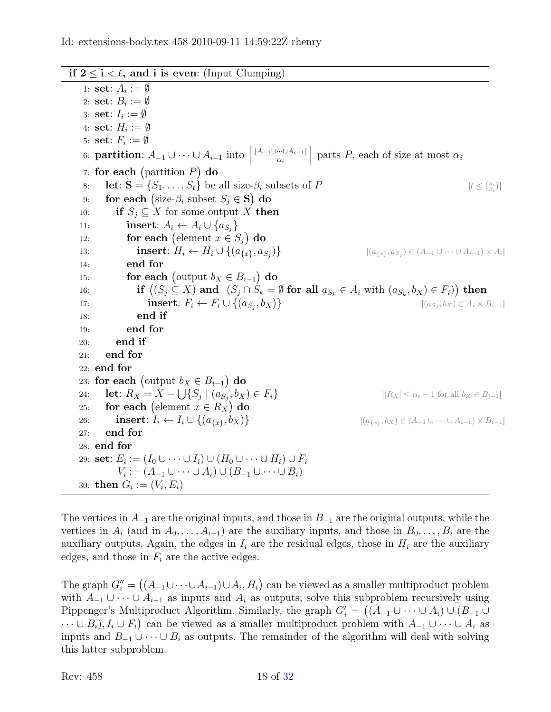if  $2 \le i < \ell$ , and i is even: (Input Clumping)

1: set:  $A_i := \emptyset$ 2: set:  $B_i := \emptyset$ 3: set:  $I_i := \emptyset$ 4:  $\textbf{set}: H_i := \emptyset$ 5:  $\textbf{set}: F_i := \emptyset$ 6: **partition**:  $A_{-1} \cup \cdots \cup A_{i-1}$  into  $\left[ \frac{|A_{-1} \cup \cdots \cup A_{i-1}|}{\alpha_i} \right]$  $\alpha_i$  $\big]$  parts P, each of size at most  $\alpha_i$ 7: for each (partition  $P$ ) do 8: **let:**  $S = \{S_1, \ldots, S_t\}$  be all size- $\beta_i$  subsets of P  $\left(\begin{smallmatrix} \alpha_i \\ \beta_i \end{smallmatrix}\right)$ 9: for each (size- $\beta_i$  subset  $S_j \in \mathbf{S}$ ) do 10: **if**  $S_i \subseteq X$  for some output X then 11: **insert**:  $A_i \leftarrow A_i \cup \{a_{S_j}\}\$ 12: **for each** (element  $x \in S_j$ ) do 13: **insert**:  $H_i \leftarrow H_i \cup \{(a_{\{x\}}, a_{S_i})\}$ )}  $[(a_{\{x\}}, a_{S_j}) \in (A_{-1} \cup \cdots \cup A_{i-1}) \times A_i]$ 14: end for 15: **for each** (output  $b_X \in B_{i-1}$ ) do 16: if  $((S_j \subseteq X)$  and  $(S_j \cap S_k = \emptyset$  for all  $a_{S_k} \in A_i$  with  $(a_{S_k}, b_X) \in F_i)$  then 17: **insert**:  $F_i \leftarrow F_i \cup \{(a_{S_j}, b_X)\}$  [( $a_{S_j}$ )  $[(a_{S_i}, b_X) \in A_i \times B_{i-1}]$ 18: end if 19: end for 20: end if 21: end for 22: end for 23: for each (output  $b_X \in B_{i-1}$ ) do 24: **let**:  $R_X = X - \bigcup \{ S_j \mid (a_{S_j}) \}$  $||R_X| \leq \alpha_i - 1$  for all  $b_X \in B_{i-1}$ ] 25: for each (element  $x \in R_X$ ) do 26: **insert**:  $I_i \leftarrow I_i \cup \{(a_{\{x\}}, b_X)\}\$  [( $a_{\{x\}}, b_X) \in (A_{-1} \cup \cdots \cup A_{i-1}) \times B_{i-1}]$ 27: end for 28: end for 29:  $\, {\bf set} \colon E_i := (I_0 \cup \dots \cup I_i) \cup (H_0 \cup \dots \cup H_i) \cup F_i$  $V_i := (A_{-1} \cup \cdots \cup A_i) \cup (B_{-1} \cup \cdots \cup B_i)$ 30: **then**  $G_i := (V_i, E_i)$ 

The vertices in  $A_{-1}$  are the original inputs, and those in  $B_{-1}$  are the original outputs, while the vertices in  $A_i$  (and in  $A_0, \ldots, A_{i-1}$ ) are the auxiliary inputs, and those in  $B_0, \ldots, B_i$  are the auxiliary outputs. Again, the edges in  $I_i$  are the residual edges, those in  $H_i$  are the auxiliary edges, and those in  $F_i$  are the active edges.

The graph  $G''_i = ((A_{-1} \cup \cdots \cup A_{i-1}) \cup A_i, H_i)$  can be viewed as a smaller multiproduct problem with  $A_{-1} \cup \cdots \cup A_{i-1}$  as inputs and  $A_i$  as outputs; solve this subproblem recursively using Pippenger's Multiproduct Algorithm. Similarly, the graph  $G_i' = ((A_{-1} \cup \cdots \cup A_i) \cup (B_{-1} \cup$  $\dots \cup B_i$ ,  $I_i \cup F_i$  can be viewed as a smaller multiproduct problem with  $A_{-1} \cup \dots \cup A_i$  as inputs and  $B_{-1} \cup \cdots \cup B_i$  as outputs. The remainder of the algorithm will deal with solving this latter subproblem.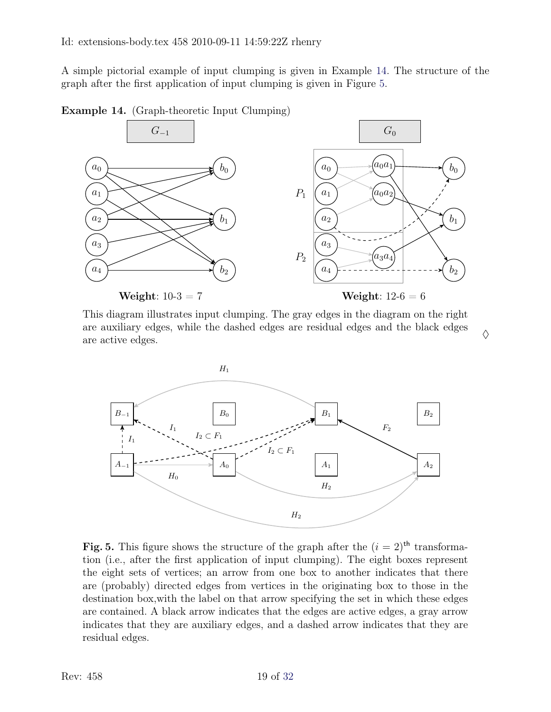A simple pictorial example of input clumping is given in Example [14.](#page-18-0) The structure of the graph after the first application of input clumping is given in Figure [5.](#page-18-1)

<span id="page-18-0"></span>Example 14. (Graph-theoretic Input Clumping)



Weight:  $10-3 = 7$ 

Weight:  $12-6=6$ 

This diagram illustrates input clumping. The gray edges in the diagram on the right are auxiliary edges, while the dashed edges are residual edges and the black edges  $\qquad$   $\diamond$ 



<span id="page-18-1"></span>Fig. 5. This figure shows the structure of the graph after the  $(i = 2)$ <sup>th</sup> transformation (i.e., after the first application of input clumping). The eight boxes represent the eight sets of vertices; an arrow from one box to another indicates that there are (probably) directed edges from vertices in the originating box to those in the destination box,with the label on that arrow specifying the set in which these edges are contained. A black arrow indicates that the edges are active edges, a gray arrow indicates that they are auxiliary edges, and a dashed arrow indicates that they are residual edges.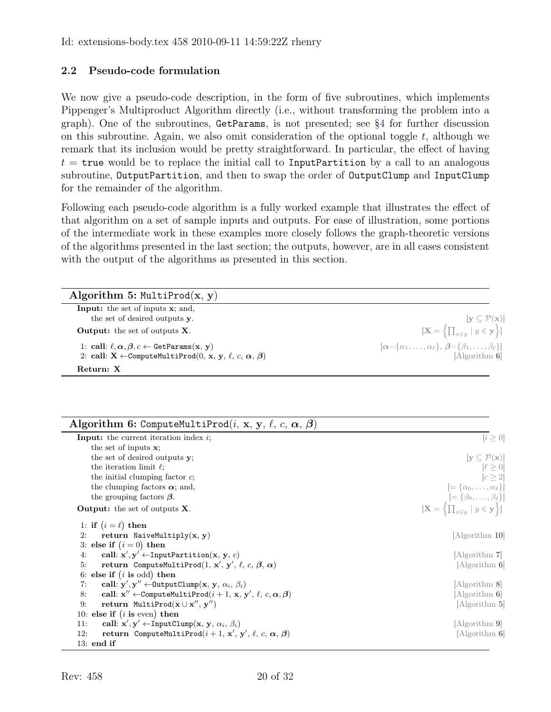### <span id="page-19-0"></span>2.2 Pseudo-code formulation

We now give a pseudo-code description, in the form of five subroutines, which implements Pippenger's Multiproduct Algorithm directly (i.e., without transforming the problem into a graph). One of the subroutines, GetParams, is not presented; see [§4](#page-29-0) for further discussion on this subroutine. Again, we also omit consideration of the optional toggle  $t$ , although we remark that its inclusion would be pretty straightforward. In particular, the effect of having  $t = \text{true}$  would be to replace the initial call to InputPartition by a call to an analogous subroutine, OutputPartition, and then to swap the order of OutputClump and InputClump for the remainder of the algorithm.

Following each pseudo-code algorithm is a fully worked example that illustrates the effect of that algorithm on a set of sample inputs and outputs. For ease of illustration, some portions of the intermediate work in these examples more closely follows the graph-theoretic versions of the algorithms presented in the last section; the outputs, however, are in all cases consistent with the output of the algorithms as presented in this section.

<span id="page-19-2"></span>

| <b>Input:</b> the set of inputs <b>x</b> ; and,                                                                   |                                                                                     |
|-------------------------------------------------------------------------------------------------------------------|-------------------------------------------------------------------------------------|
| the set of desired outputs <b>v</b> .                                                                             | $ y \subset \mathcal{P}(x) $                                                        |
| <b>Output:</b> the set of outputs $X$ .                                                                           | $\mathbf{X} = \left\{ \prod_{x \in y} \mid y \in \mathbf{y} \right\}$               |
| 1: call: $\ell, \alpha, \beta, c \leftarrow \text{GetParameters}(x, y)$                                           | $[\alpha = {\alpha_1, \ldots, \alpha_\ell}, \beta = {\beta_1, \ldots, \beta_\ell}]$ |
| 2: call: <b>X</b> $\leftarrow$ ComputeMultiProd(0, <b>x</b> , <b>y</b> , $\ell$ , <i>c</i> , $\alpha$ , $\beta$ ) | [Algorithm 6]                                                                       |

<span id="page-19-3"></span><span id="page-19-1"></span>

| Algorithm 6: ComputeMultiProd( <i>i</i> , x, y, $\ell$ , c, $\alpha$ , $\beta$ )                                                            |                                                                         |
|---------------------------------------------------------------------------------------------------------------------------------------------|-------------------------------------------------------------------------|
| <b>Input:</b> the current iteration index $i$ ;                                                                                             | $[i \geq 0]$                                                            |
| the set of inputs $x$ ;                                                                                                                     |                                                                         |
| the set of desired outputs y;                                                                                                               | $ y \subseteq \mathcal{P}(x) $                                          |
| the iteration limit $\ell$ ;                                                                                                                | $[\ell \geq 0]$                                                         |
| the initial clumping factor $c$ ;                                                                                                           | $[c \geq 2]$                                                            |
| the clumping factors $\alpha$ ; and,                                                                                                        |                                                                         |
| the grouping factors $\beta$ .                                                                                                              | [= { $\alpha_0, , \alpha_\ell$ }]<br>[= { $\beta_0, , \beta_\ell$ }]    |
| <b>Output:</b> the set of outputs $X$ .                                                                                                     | $[\mathbf{X} = \left\{ \prod_{x \in y} \mid y \in \mathbf{y} \right\}]$ |
| 1: if $(i = \ell)$ then                                                                                                                     |                                                                         |
| return NaiveMultiply $(x, y)$<br>2:                                                                                                         | Algorithm 10                                                            |
| 3: else if $(i = 0)$ then                                                                                                                   |                                                                         |
| call: $\mathbf{x}', \mathbf{y}' \leftarrow \text{InputPartition}(\mathbf{x}, \mathbf{y}, c)$<br>4:                                          | [Algorithm 7]                                                           |
| return ComputeMultiProd(1, x', y', $\ell$ , c, $\beta$ , $\alpha$ )<br>5:                                                                   | $\left[\text{Algorithm } 6\right]$                                      |
| 6: else if $(i$ is odd) then                                                                                                                |                                                                         |
| call: $\mathbf{y}', \mathbf{y}'' \leftarrow$ Output Clump $(\mathbf{x}, \mathbf{y}, \alpha_i, \beta_i)$<br>7:                               | Algorithm 8                                                             |
| call: $\mathbf{x}'' \leftarrow$ ComputeMultiProd $(i + 1, \mathbf{x}, \mathbf{y}', \ell, c, \boldsymbol{\alpha}, \boldsymbol{\beta})$<br>8: | [Algorithm 6]                                                           |
| return MultiProd( $\mathbf{x} \cup \mathbf{x}'', \mathbf{y}''$ )<br>9:                                                                      | Algorithm 5                                                             |
| 10: else if $(i$ is even) then                                                                                                              |                                                                         |
| call: $\mathbf{x}', \mathbf{y}' \leftarrow \text{InputClump}(\mathbf{x}, \mathbf{y}, \alpha_i, \beta_i)$<br>11:                             | Algorithm 9                                                             |
| return ComputeMultiProd( $i+1$ , x', y', $\ell$ , c, $\alpha$ , $\beta$ )<br>12:                                                            | Algorithm 6                                                             |
| $13:$ end if                                                                                                                                |                                                                         |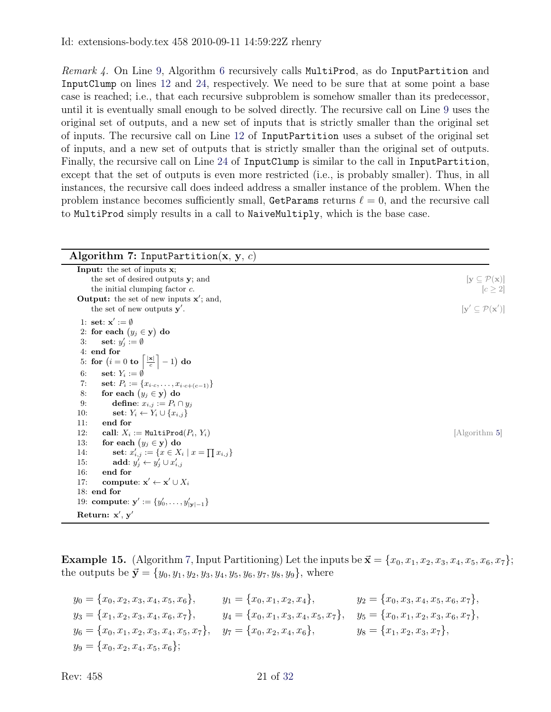Remark 4. On Line [9,](#page-19-3) Algorithm [6](#page-19-1) recursively calls MultiProd, as do InputPartition and InputClump on lines [12](#page-20-1) and [24,](#page-24-1) respectively. We need to be sure that at some point a base case is reached; i.e., that each recursive subproblem is somehow smaller than its predecessor, until it is eventually small enough to be solved directly. The recursive call on Line [9](#page-19-3) uses the original set of outputs, and a new set of inputs that is strictly smaller than the original set of inputs. The recursive call on Line [12](#page-20-1) of InputPartition uses a subset of the original set of inputs, and a new set of outputs that is strictly smaller than the original set of outputs. Finally, the recursive call on Line [24](#page-24-1) of InputClump is similar to the call in InputPartition, except that the set of outputs is even more restricted (i.e., is probably smaller). Thus, in all instances, the recursive call does indeed address a smaller instance of the problem. When the problem instance becomes sufficiently small, GetParams returns  $\ell = 0$ , and the recursive call to MultiProd simply results in a call to NaiveMultiply, which is the base case.

<span id="page-20-0"></span>

| Algorithm 7: InputPartition(x, y, c)                                                                                                                                                                                                                                                                                                                                                    |                                                                                                                        |
|-----------------------------------------------------------------------------------------------------------------------------------------------------------------------------------------------------------------------------------------------------------------------------------------------------------------------------------------------------------------------------------------|------------------------------------------------------------------------------------------------------------------------|
| <b>Input:</b> the set of inputs <b>x</b> ;<br>the set of desired outputs y; and<br>the initial clumping factor $c$ .<br><b>Output:</b> the set of new inputs $x'$ ; and,<br>the set of new outputs $y'$ .                                                                                                                                                                               | $[\mathbf{y} \subseteq \mathcal{P}(\mathbf{x})]$<br>$[c \geq 2]$<br>$[\mathbf{y}' \subseteq \mathcal{P}(\mathbf{x}')]$ |
| 1: set: $x' := \emptyset$<br>2: for each $(y_j \in y)$ do<br>set: $y'_i := \emptyset$<br>3:<br>4: end for<br>5: for $(i = 0 \text{ to } \left\lceil \frac{ \mathbf{x} }{c} \right\rceil - 1)$ do                                                                                                                                                                                        |                                                                                                                        |
| set: $Y_i := \emptyset$<br>6:<br>set: $P_i := \{x_{i \cdot c}, \ldots, x_{i \cdot c + (c-1)}\}$<br>7:<br>for each $(y_j \in y)$ do<br>8:<br>define: $x_{i,j} := P_i \cap y_j$<br>9:<br>set: $Y_i \leftarrow Y_i \cup \{x_{i,j}\}\$<br>10:<br>11:<br>end for                                                                                                                             |                                                                                                                        |
| 12:<br>call: $X_i := \text{MultiProd}(P_i, Y_i)$<br>for each $(y_j \in y)$ do<br>13:<br>set: $x'_{i,j} := \{x \in X_i \mid x = \prod x_{i,j}\}\$<br>14:<br>add: $y'_i \leftarrow y'_i \cup x'_{i,j}$<br>15:<br>end for<br>16:<br>compute: $\mathbf{x}' \leftarrow \mathbf{x}' \cup X_i$<br>17:<br>$18:$ end for<br>19: compute: $\mathbf{y}' := \{y'_0, \ldots, y'_{ \mathbf{y} -1}\}\$ | [Algorithm 5]                                                                                                          |
| Return: $x', y'$                                                                                                                                                                                                                                                                                                                                                                        |                                                                                                                        |

<span id="page-20-1"></span>**Example 15.** (Algorithm [7,](#page-20-0) Input Partitioning) Let the inputs be  $\vec{\mathbf{x}} = \{x_0, x_1, x_2, x_3, x_4, x_5, x_6, x_7\};$ the outputs be  $\vec{y} = \{y_0, y_1, y_2, y_3, y_4, y_5, y_6, y_7, y_8, y_9\}$ , where

 $y_0 = \{x_0, x_2, x_3, x_4, x_5, x_6\},$   $y_1 = \{x_0, x_1, x_2, x_4\},$   $y_2 = \{x_0, x_3, x_4, x_5, x_6, x_7\},$  $y_3 = \{x_1, x_2, x_3, x_4, x_6, x_7\},$   $y_4 = \{x_0, x_1, x_3, x_4, x_5, x_7\},$   $y_5 = \{x_0, x_1, x_2, x_3, x_6, x_7\},$  $y_6 = \{x_0, x_1, x_2, x_3, x_4, x_5, x_7\},$   $y_7 = \{x_0, x_2, x_4, x_6\},$   $y_8 = \{x_1, x_2, x_3, x_7\},$  $y_9 = \{x_0, x_2, x_4, x_5, x_6\};$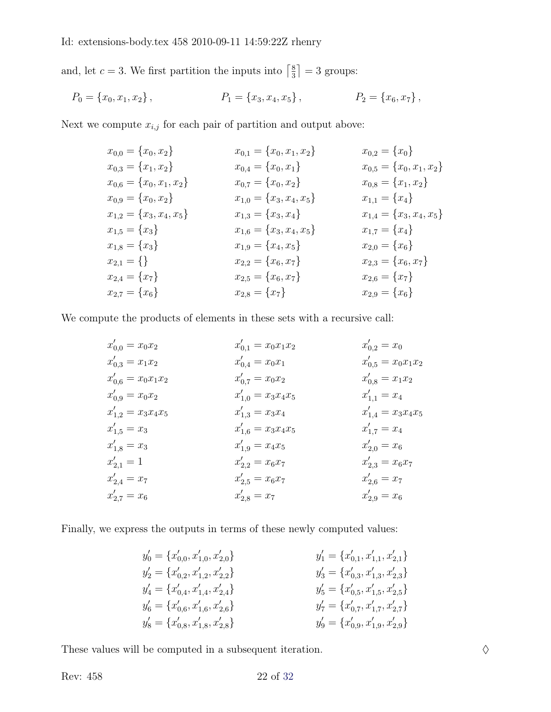and, let  $c = 3$ . We first partition the inputs into  $\left[\frac{8}{3}\right]$  $\frac{8}{3}$  = 3 groups:

$$
P_0 = \{x_0, x_1, x_2\}, \qquad P_1 = \{x_3, x_4, x_5\}, \qquad P_2 = \{x_6, x_7\},
$$

Next we compute  $x_{i,j}$  for each pair of partition and output above:

| $x_{0,0} = \{x_0, x_2\}$      | $x_{0,1} = \{x_0, x_1, x_2\}$ | $x_{0,2} = \{x_0\}$           |
|-------------------------------|-------------------------------|-------------------------------|
| $x_{0,3} = \{x_1, x_2\}$      | $x_{0,4} = \{x_0, x_1\}$      | $x_{0,5} = \{x_0, x_1, x_2\}$ |
| $x_{0,6} = \{x_0, x_1, x_2\}$ | $x_{0,7} = \{x_0, x_2\}$      | $x_{0,8} = \{x_1, x_2\}$      |
| $x_{0,9} = \{x_0, x_2\}$      | $x_{1,0} = \{x_3, x_4, x_5\}$ | $x_{1,1} = \{x_4\}$           |
| $x_{1,2} = \{x_3, x_4, x_5\}$ | $x_{1,3} = \{x_3, x_4\}$      | $x_{1,4} = \{x_3, x_4, x_5\}$ |
| $x_{1,5} = \{x_3\}$           | $x_{1,6} = \{x_3, x_4, x_5\}$ | $x_{1,7} = \{x_4\}$           |
| $x_{1,8} = \{x_3\}$           | $x_{1,9} = \{x_4, x_5\}$      | $x_{2,0} = \{x_6\}$           |
| $x_{2,1} = \{\}\$             | $x_{2,2} = \{x_6, x_7\}$      | $x_{2,3} = \{x_6, x_7\}$      |
| $x_{2,4} = \{x_7\}$           | $x_{2,5} = \{x_6, x_7\}$      | $x_{2,6} = \{x_7\}$           |
| $x_{2,7} = \{x_6\}$           | $x_{2,8} = \{x_7\}$           | $x_{2,9} = \{x_6\}$           |

We compute the products of elements in these sets with a recursive call:

$$
x'_{0,0} = x_0x_2
$$
  
\n
$$
x'_{0,3} = x_1x_2
$$
  
\n
$$
x'_{0,4} = x_0x_1
$$
  
\n
$$
x'_{0,5} = x_0x_1x_2
$$
  
\n
$$
x'_{0,6} = x_0x_1x_2
$$
  
\n
$$
x'_{0,7} = x_0x_2
$$
  
\n
$$
x'_{0,8} = x_1x_2
$$
  
\n
$$
x'_{0,9} = x_0x_2
$$
  
\n
$$
x'_{0,1} = x_0x_1
$$
  
\n
$$
x'_{0,4} = x_0x_1
$$
  
\n
$$
x'_{0,5} = x_0x_1x_2
$$
  
\n
$$
x'_{0,6} = x_0x_1x_2
$$
  
\n
$$
x'_{0,7} = x_0x_2
$$
  
\n
$$
x'_{0,8} = x_1x_2
$$
  
\n
$$
x'_{0,8} = x_1x_2
$$
  
\n
$$
x'_{0,8} = x_1x_2
$$
  
\n
$$
x'_{0,8} = x_1x_2
$$
  
\n
$$
x'_{0,8} = x_1x_2
$$
  
\n
$$
x'_{0,8} = x_1x_2
$$
  
\n
$$
x'_{0,8} = x_1x_2
$$
  
\n
$$
x'_{0,8} = x_1x_2
$$
  
\n
$$
x'_{0,8} = x_1x_2
$$
  
\n
$$
x'_{0,8} = x_1x_2
$$
  
\n
$$
x'_{0,8} = x_1x_2
$$
  
\n
$$
x'_{0,8} = x_1x_2
$$
  
\n
$$
x'_{0,8} = x_1x_2
$$
  
\n
$$
x'_{0,8} = x_1x_2
$$
  
\n
$$
x'_{1,9} = x_3x_4x_5
$$
  
\n
$$
x'_{1,9} = x_3x_4x_
$$

Finally, we express the outputs in terms of these newly computed values:

| $y'_0 = \{x'_{0,0}, x'_{1,0}, x'_{2,0}\}\$ | $y'_1 = \{x'_{0,1}, x'_{1,1}, x'_{2,1}\}\$ |
|--------------------------------------------|--------------------------------------------|
| $y'_2 = \{x'_{0,2}, x'_{1,2}, x'_{2,2}\}\$ | $y'_3 = \{x'_{0,3}, x'_{1,3}, x'_{2,3}\}\$ |
| $y'_4 = \{x'_{0,4}, x'_{1,4}, x'_{2,4}\}\$ | $y'_5 = \{x'_{0,5}, x'_{1,5}, x'_{2,5}\}\$ |
| $y'_6 = \{x'_{0,6}, x'_{1,6}, x'_{2,6}\}\$ | $y'_7 = \{x'_{0,7}, x'_{1,7}, x'_{2,7}\}\$ |
| $y'_8 = \{x'_{0,8}, x'_{1,8}, x'_{2,8}\}\$ | $y'_9 = \{x'_{0,9}, x'_{1,9}, x'_{2,9}\}\$ |

These values will be computed in a subsequent iteration.  $\Diamond$ 

Rev: 458 22 of [32](#page-31-1)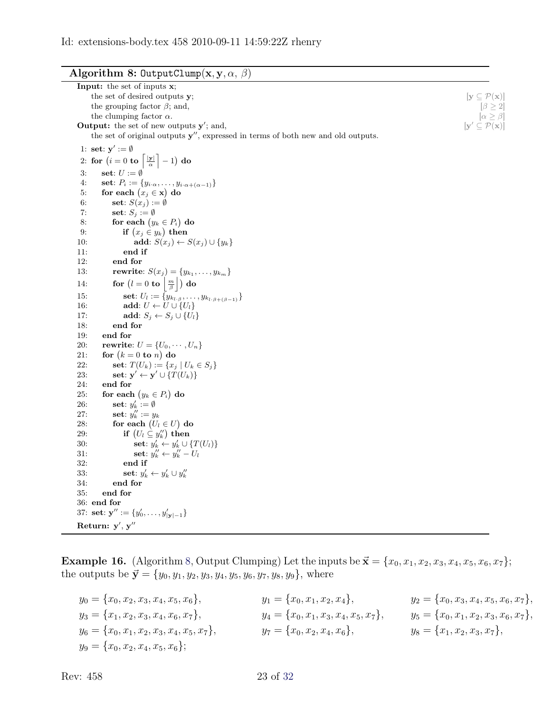<span id="page-22-0"></span>

|  |  | Algorithm 8: OutputClump $(\mathbf{x}, \mathbf{y}, \alpha, \beta)$ |  |  |  |  |  |
|--|--|--------------------------------------------------------------------|--|--|--|--|--|
|--|--|--------------------------------------------------------------------|--|--|--|--|--|

| <b>Input:</b> the set of inputs <b>x</b> ;                                                                         |                                                   |
|--------------------------------------------------------------------------------------------------------------------|---------------------------------------------------|
| the set of desired outputs y;                                                                                      | $ y \subseteq \mathcal{P}(x) $                    |
| the grouping factor $\beta$ ; and,                                                                                 | $ \beta > 2 $                                     |
| the clumping factor $\alpha$ .                                                                                     | $[\alpha \geq \beta]$                             |
| <b>Output:</b> the set of new outputs $y'$ ; and,                                                                  | $[\mathbf{y}' \subseteq \mathcal{P}(\mathbf{x})]$ |
| the set of original outputs $y''$ , expressed in terms of both new and old outputs.                                |                                                   |
| 1: set: $y' := \emptyset$                                                                                          |                                                   |
| 2: for $(i = 0 \text{ to } \left  \frac{ \mathbf{y} }{\alpha} \right  - 1)$ do                                     |                                                   |
| 3:<br>set: $U := \emptyset$                                                                                        |                                                   |
| 4:<br>set: $P_i := \{y_{i\cdot\alpha}, \ldots, y_{i\cdot\alpha+(\alpha-1)}\}$                                      |                                                   |
| for each $(x_j \in \mathbf{x})$ do<br>5:                                                                           |                                                   |
| 6:<br>set: $S(x_j) := \emptyset$                                                                                   |                                                   |
| 7:<br>set: $S_j := \emptyset$                                                                                      |                                                   |
| for each $(y_k \in P_i)$ do<br>8:                                                                                  |                                                   |
| 9:<br>if $(x_j \in y_k)$ then                                                                                      |                                                   |
| 10:<br>add: $S(x_j) \leftarrow S(x_j) \cup \{y_k\}$                                                                |                                                   |
| end if<br>11:                                                                                                      |                                                   |
| end for<br>12:                                                                                                     |                                                   |
| <b>rewrite:</b> $S(x_j) = \{y_{k_1}, \ldots, y_{k_m}\}\$<br>13:                                                    |                                                   |
| for $(l = 0 \text{ to } \left\lfloor \frac{m}{\beta} \right\rfloor)$ do<br>14:                                     |                                                   |
| set: $U_l := \{ y_{k_{l,\beta}}, \ldots, y_{k_{l,\beta+(\beta-1)}} \}$<br>15:                                      |                                                   |
| 16:<br>add: $U \leftarrow U \cup \{U_l\}$                                                                          |                                                   |
| 17:<br>add: $S_j \leftarrow S_j \cup \{U_l\}$                                                                      |                                                   |
| 18:<br>end for                                                                                                     |                                                   |
| 19:<br>end for                                                                                                     |                                                   |
| rewrite: $U = \{U_0, \cdots, U_n\}$<br>20:                                                                         |                                                   |
| for $(k = 0 \text{ to } n)$ do<br>21:                                                                              |                                                   |
| 22:<br>set: $T(U_k) := \{x_j   U_k \in S_j\}$<br>23:<br>set: $\mathbf{y}' \leftarrow \mathbf{y}' \cup \{T(U_k)\}\$ |                                                   |
|                                                                                                                    |                                                   |
| 24:<br>end for<br>25:<br>for each $(y_k \in P_i)$ do                                                               |                                                   |
| set: $y'_k := \emptyset$<br>26:                                                                                    |                                                   |
| set: $y''_k := y_k$<br>27:                                                                                         |                                                   |
| for each $(U_l \in U)$ do<br>28:                                                                                   |                                                   |
| if $(U_l \subseteq y_k'')$ then<br>29:                                                                             |                                                   |
| set: $y'_k \leftarrow y'_k \cup \{T(U_l)\}\$<br>30:                                                                |                                                   |
| set: $y_k'' \leftarrow y_k'' - U_l$<br>31:                                                                         |                                                   |
| 32:<br>end if                                                                                                      |                                                   |
| set: $y'_k \leftarrow y'_k \cup y''_k$<br>33:                                                                      |                                                   |
| 34:<br>end for                                                                                                     |                                                   |
| 35:<br>end for                                                                                                     |                                                   |
| 36: end for                                                                                                        |                                                   |
| 37: set: $\mathbf{y}'' := \{y'_0, \ldots, y'_{ \mathbf{y} -1}\}\$                                                  |                                                   |
| Return: $y', y''$                                                                                                  |                                                   |

**Example 16.** (Algorithm [8,](#page-22-0) Output Clumping) Let the inputs be  $\vec{\mathbf{x}} = \{x_0, x_1, x_2, x_3, x_4, x_5, x_6, x_7\};$ the outputs be  $\vec{y} = \{y_0, y_1, y_2, y_3, y_4, y_5, y_6, y_7, y_8, y_9\}$ , where

| $y_0 = \{x_0, x_2, x_3, x_4, x_5, x_6\},\$      | $y_1 = \{x_0, x_1, x_2, x_4\},\$           | $y_2 = \{x_0, x_3, x_4, x_5, x_6, x_7\},\$ |
|-------------------------------------------------|--------------------------------------------|--------------------------------------------|
| $y_3 = \{x_1, x_2, x_3, x_4, x_6, x_7\},\$      | $y_4 = \{x_0, x_1, x_3, x_4, x_5, x_7\},\$ | $y_5 = \{x_0, x_1, x_2, x_3, x_6, x_7\},\$ |
| $y_6 = \{x_0, x_1, x_2, x_3, x_4, x_5, x_7\},\$ | $y_7 = \{x_0, x_2, x_4, x_6\},\$           | $y_8 = \{x_1, x_2, x_3, x_7\},\$           |
| $y_9 = \{x_0, x_2, x_4, x_5, x_6\};$            |                                            |                                            |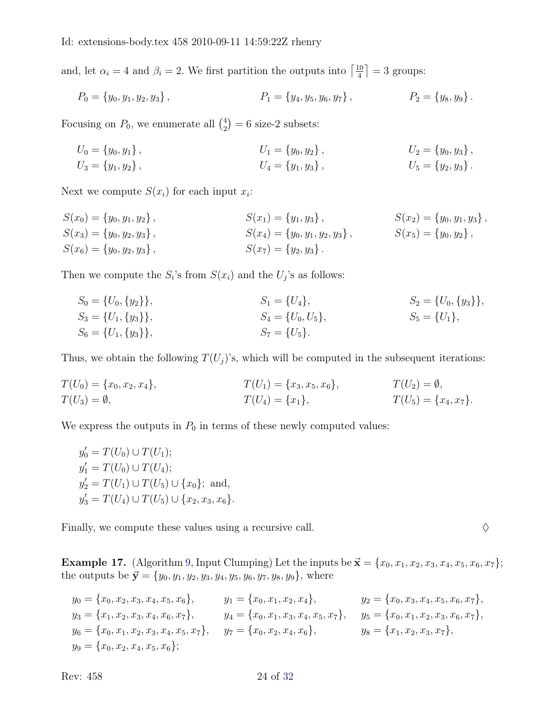and, let  $\alpha_i = 4$  and  $\beta_i = 2$ . We first partition the outputs into  $\left[\frac{10}{4}\right]$  $\frac{10}{4}$  = 3 groups:

$$
P_0 = \{y_0, y_1, y_2, y_3\}, \qquad P_1 = \{y_4, y_5, y_6, y_7\}, \qquad P_2 = \{y_8, y_9\}.
$$

Focusing on  $P_0$ , we enumerate all  $\binom{4}{2}$  $2<sup>4</sup>$ <sub>2</sub> $) = 6$  size-2 subsets:

$$
U_0 = \{y_0, y_1\},
$$
  
\n
$$
U_1 = \{y_0, y_2\},
$$
  
\n
$$
U_2 = \{y_0, y_3\},
$$
  
\n
$$
U_3 = \{y_1, y_2\},
$$
  
\n
$$
U_4 = \{y_1, y_3\},
$$
  
\n
$$
U_5 = \{y_2, y_3\}.
$$

Next we compute  $S(x_i)$  for each input  $x_i$ :

$$
S(x_0) = \{y_0, y_1, y_2\}, \qquad S(x_1) = \{y_1, y_3\}, \qquad S(x_2) = \{y_0, y_1, y_3\},
$$
  
\n
$$
S(x_3) = \{y_0, y_2, y_3\}, \qquad S(x_4) = \{y_0, y_1, y_2, y_3\}, \qquad S(x_5) = \{y_0, y_2\},
$$
  
\n
$$
S(x_6) = \{y_0, y_2, y_3\}, \qquad S(x_7) = \{y_2, y_3\}.
$$

Then we compute the  $S_i$ 's from  $S(x_i)$  and the  $U_j$ 's as follows:

$$
S_0 = \{U_0, \{y_2\}\},
$$
  
\n
$$
S_3 = \{U_1, \{y_3\}\},
$$
  
\n
$$
S_4 = \{U_0, U_5\},
$$
  
\n
$$
S_5 = \{U_1\},
$$
  
\n
$$
S_6 = \{U_1, \{y_3\}\},
$$
  
\n
$$
S_7 = \{U_5\}.
$$
  
\n
$$
S_8 = \{U_1\},
$$
  
\n
$$
S_9 = \{U_1\},
$$
  
\n
$$
S_1 = \{U_2\}.
$$
  
\n
$$
S_2 = \{U_0, \{y_3\}\},
$$
  
\n
$$
S_4 = \{U_0, U_5\}.
$$

Thus, we obtain the following  $T(U_j)$ 's, which will be computed in the subsequent iterations:

$$
T(U_0) = \{x_0, x_2, x_4\}, \qquad T(U_1) = \{x_3, x_5, x_6\}, \qquad T(U_2) = \emptyset, T(U_3) = \emptyset, \qquad T(U_4) = \{x_1\}, \qquad T(U_5) = \{x_4, x_7\}.
$$

We express the outputs in  $P_0$  in terms of these newly computed values:

$$
y'_0 = T(U_0) \cup T(U_1);
$$
  
\n
$$
y'_1 = T(U_0) \cup T(U_4);
$$
  
\n
$$
y'_2 = T(U_1) \cup T(U_5) \cup \{x_0\};
$$
 and,  
\n
$$
y'_3 = T(U_4) \cup T(U_5) \cup \{x_2, x_3, x_6\}.
$$

Finally, we compute these values using a recursive call.  $\Diamond$ 

**Example 17.** (Algorithm [9,](#page-24-0) Input Clumping) Let the inputs be  $\vec{\mathbf{x}} = \{x_0, x_1, x_2, x_3, x_4, x_5, x_6, x_7\};$ the outputs be  $\vec{y} = \{y_0, y_1, y_2, y_3, y_4, y_5, y_6, y_7, y_8, y_9\}$ , where

$$
y_0 = \{x_0, x_2, x_3, x_4, x_5, x_6\},
$$
  
\n
$$
y_1 = \{x_0, x_1, x_2, x_4\},
$$
  
\n
$$
y_2 = \{x_0, x_3, x_4, x_5, x_6\},
$$
  
\n
$$
y_3 = \{x_1, x_2, x_3, x_4, x_6, x_7\},
$$
  
\n
$$
y_4 = \{x_0, x_1, x_3, x_4, x_5, x_7\},
$$
  
\n
$$
y_5 = \{x_0, x_1, x_2, x_3, x_6, x_7\},
$$
  
\n
$$
y_6 = \{x_0, x_1, x_2, x_3, x_4, x_5, x_7\},
$$
  
\n
$$
y_7 = \{x_0, x_2, x_4, x_6\},
$$
  
\n
$$
y_8 = \{x_1, x_2, x_3, x_7\},
$$
  
\n
$$
y_9 = \{x_0, x_2, x_4, x_5, x_6\};
$$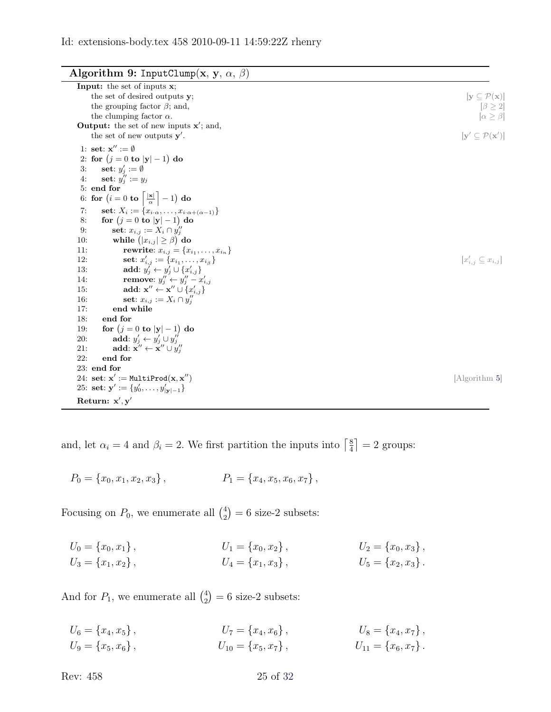Algorithm 9: InputClump(x, y,  $\alpha$ ,  $\beta$ )

<span id="page-24-0"></span>

| <b>Input:</b> the set of inputs $x$ ;                                                    |                                                    |
|------------------------------------------------------------------------------------------|----------------------------------------------------|
| the set of desired outputs y;                                                            | $[\mathbf{y} \subseteq \mathcal{P}(\mathbf{x})]$   |
| the grouping factor $\beta$ ; and,                                                       | $\left[\beta\geq 2\right]$                         |
| the clumping factor $\alpha$ .                                                           | $\alpha \geq \beta$                                |
| <b>Output:</b> the set of new inputs $x'$ ; and,                                         |                                                    |
| the set of new outputs $y'$ .                                                            | $[\mathbf{y}' \subseteq \mathcal{P}(\mathbf{x}')]$ |
| 1: set: $\mathbf{x}^{\prime\prime} := \emptyset$                                         |                                                    |
| 2: for $(j = 0 \text{ to }  y  - 1)$ do                                                  |                                                    |
| 3:<br>set: $y_i' := \emptyset$                                                           |                                                    |
| set: $y''_i := y_i$<br>4:                                                                |                                                    |
| 5: end for                                                                               |                                                    |
| 6: for $(i = 0 \text{ to } \left\lceil \frac{ \mathbf{x} }{\alpha} \right\rceil - 1)$ do |                                                    |
| set: $X_i := \{x_{i\cdot\alpha}, \ldots, x_{i\cdot\alpha+(\alpha-1)}\}$<br>7:            |                                                    |
| for $(j = 0$ to $ y  - 1)$ do<br>8:                                                      |                                                    |
| set: $x_{i,j} := X_i \cap y''_i$<br>9:                                                   |                                                    |
| while $( x_{i,j}  \geq \beta)$ do<br>10:                                                 |                                                    |
| <b>rewrite</b> : $x_{i,j} = \{x_{i_1}, \ldots, x_{i_n}\}\$<br>11:                        |                                                    |
| set: $x'_{i,j} := \{x_{i_1}, \ldots, x_{i_\beta}\}\$<br>12:                              | $[x'_{i,j} \subseteq x_{i,j}]$                     |
| add: $y'_i \leftarrow y'_i \cup \{x'_{i,j}\}\$<br>13:                                    |                                                    |
| remove: $y''_j \leftarrow y''_j - x'_{i,j}$<br>14:                                       |                                                    |
| add: $\mathbf{x}'' \leftarrow \mathbf{x}'' \cup \{x'_{i,j}\}\$<br>15:                    |                                                    |
| 16:<br>set: $x_{i,j} := X_i \cap y''_i$                                                  |                                                    |
| 17:<br>end while                                                                         |                                                    |
| end for<br>18:                                                                           |                                                    |
| for $(j = 0 \text{ to }  y  - 1)$ do<br>19:                                              |                                                    |
| add: $y'_i \leftarrow y'_i \cup y''_i$<br>20:                                            |                                                    |
| add: $\mathbf{x}'' \leftarrow \mathbf{x}'' \cup y''_i$<br>21:                            |                                                    |
| 22:<br>end for                                                                           |                                                    |
| 23: end for                                                                              |                                                    |
| 24: set: $\mathbf{x}' := \text{MultiProd}(\mathbf{x}, \mathbf{x}'')$                     | Algorithm 5                                        |
| 25: set: $\mathbf{y}' := \{y'_0, \ldots, y'_{ \mathbf{y} -1}\}\$                         |                                                    |
| Return: $x', y'$                                                                         |                                                    |

<span id="page-24-1"></span>and, let  $\alpha_i = 4$  and  $\beta_i = 2$ . We first partition the inputs into  $\begin{bmatrix} \frac{8}{4} \end{bmatrix}$  $\frac{8}{4}$  = 2 groups:

$$
P_0 = \{x_0, x_1, x_2, x_3\}, \qquad \qquad P_1 = \{x_4, x_5, x_6, x_7\},
$$

Focusing on  $P_0$ , we enumerate all  $\binom{4}{2}$  $2<sup>4</sup>$ <sub>2</sub> $) = 6$  size-2 subsets:

$$
U_0 = \{x_0, x_1\},
$$
  
\n
$$
U_1 = \{x_0, x_2\},
$$
  
\n
$$
U_2 = \{x_0, x_3\},
$$
  
\n
$$
U_3 = \{x_1, x_2\},
$$
  
\n
$$
U_4 = \{x_1, x_3\},
$$
  
\n
$$
U_5 = \{x_2, x_3\}.
$$

And for  $P_1$ , we enumerate all  $\binom{4}{2}$  $2<sup>4</sup>$ <sub>2</sub> $= 6$  size-2 subsets:

 $U_6 = \{x_4, x_5\},$ <br>  $U_7 = \{x_4, x_6\},$ <br>  $U_8 = \{x_4, x_7\},$ <br>  $U_9 = \{x_5, x_6\},$ <br>  $U_{10} = \{x_5, x_7\},$ <br>  $U_{11} = \{x_6, x_7\}.$  $U_9 = \{x_5, x_6\},$   $U_{10} = \{x_5, x_7\},$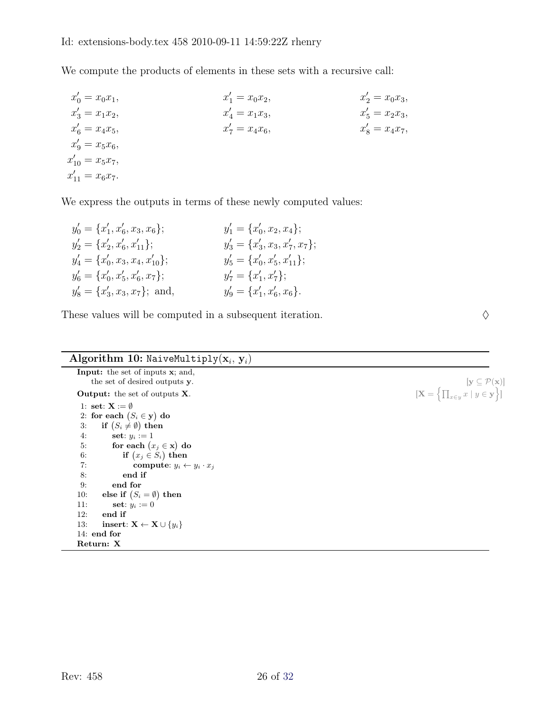We compute the products of elements in these sets with a recursive call:

$$
x'_{0} = x_{0}x_{1},
$$
  
\n
$$
x'_{1} = x_{0}x_{2},
$$
  
\n
$$
x'_{2} = x_{0}x_{3},
$$
  
\n
$$
x'_{3} = x_{1}x_{2},
$$
  
\n
$$
x'_{4} = x_{1}x_{3},
$$
  
\n
$$
x'_{5} = x_{2}x_{3},
$$
  
\n
$$
x'_{6} = x_{4}x_{5},
$$
  
\n
$$
x'_{7} = x_{4}x_{6},
$$
  
\n
$$
x'_{8} = x_{4}x_{7},
$$
  
\n
$$
x'_{9} = x_{5}x_{6},
$$
  
\n
$$
x'_{10} = x_{5}x_{7},
$$
  
\n
$$
x'_{11} = x_{6}x_{7}.
$$

We express the outputs in terms of these newly computed values:

| $y'_0 = \{x'_1, x'_6, x_3, x_6\};$    | $y'_1 = \{x'_0, x_2, x_4\};$       |
|---------------------------------------|------------------------------------|
| $y'_2 = \{x'_2, x'_6, x'_{11}\};$     | $y'_3 = \{x'_3, x_3, x'_7, x_7\};$ |
| $y'_4 = \{x'_0, x_3, x_4, x'_{10}\};$ | $y'_5 = \{x'_0, x'_5, x'_{11}\};$  |
| $y'_6 = \{x'_0, x'_5, x'_6, x_7\};$   | $y'_7 = \{x'_1, x'_7\};$           |
| $y'_8 = \{x'_3, x_3, x_7\};$ and,     | $y'_9 = \{x'_1, x'_6, x_6\}.$      |

These values will be computed in a subsequent iteration.  $\Diamond$ 

## Algorithm 10: NaiveMultiply $(\mathbf{x}_i, \mathbf{y}_i)$ Input: the set of inputs x; and,

<span id="page-25-0"></span>the set of desired outputs y.  $[y \subseteq \mathcal{P}(x)]$ Output: the set of outputs  $X$ . 1: set:  $X := \emptyset$ 2: for each  $(S_i \in \mathbf{y})$  do 3: if  $(S_i \neq \emptyset)$  then 4: **set**:  $y_i := 1$ 5: for each  $(x_j \in \mathbf{x})$  do 6: if  $(x_j \in S_i)$  then 7: compute:  $y_i \leftarrow y_i \cdot x_j$ 8: end if 9: end for 10: else if  $(S_i = \emptyset)$  then 11: **set**:  $y_i := 0$ 12: end if 13: **insert:**  $X \leftarrow X \cup \{y_i\}$ 14: end for Return: X

 $\left\{\prod_{x\in y} x \mid y \in \mathbf{y}\right\}\right]$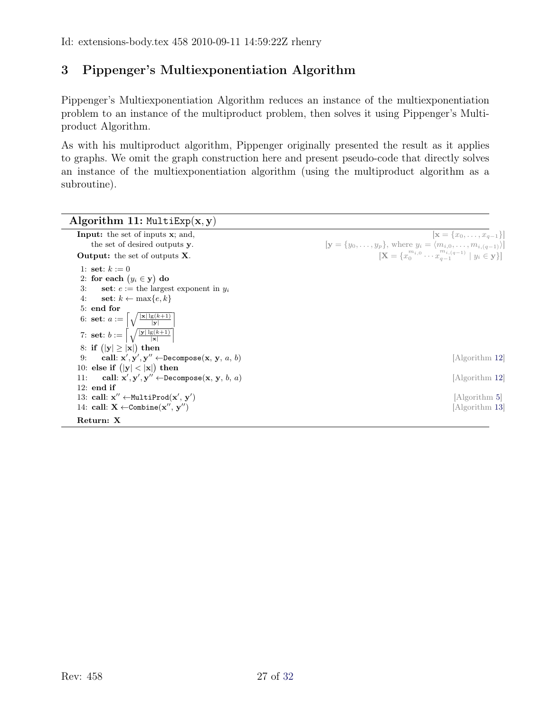# <span id="page-26-0"></span>3 Pippenger's Multiexponentiation Algorithm

Pippenger's Multiexponentiation Algorithm reduces an instance of the multiexponentiation problem to an instance of the multiproduct problem, then solves it using Pippenger's Multiproduct Algorithm.

As with his multiproduct algorithm, Pippenger originally presented the result as it applies to graphs. We omit the graph construction here and present pseudo-code that directly solves an instance of the multiexponentiation algorithm (using the multiproduct algorithm as a subroutine).

| Algorithm 11: $MultiExp(x, y)$                                                                                                                                                                                                                         |                                                                                                                                                                                                                                           |
|--------------------------------------------------------------------------------------------------------------------------------------------------------------------------------------------------------------------------------------------------------|-------------------------------------------------------------------------------------------------------------------------------------------------------------------------------------------------------------------------------------------|
| <b>Input:</b> the set of inputs <b>x</b> ; and,<br>the set of desired outputs y.<br><b>Output:</b> the set of outputs $X$ .                                                                                                                            | $[\mathbf{x} = \{x_0, \ldots, x_{q-1}\}]$<br>$[\mathbf{y} = \{y_0, \ldots, y_p\},\$ where $y_i = \langle m_{i,0}, \ldots, m_{i,(q-1)}\rangle]$<br>$[\mathbf{X} = \{x_0^{m_{i,0}} \cdots x_{a-1}^{m_{i,(q-1)}} \mid y_i \in \mathbf{y}\}]$ |
| 1: set: $k := 0$<br>2: for each $(y_i \in y)$ do<br>set: $e :=$ the largest exponent in $y_i$<br>3:<br>set: $k \leftarrow \max\{e, k\}$<br>4:<br>5: end for<br>6: <b>set</b> : $a := \left[ \sqrt{\frac{ \mathbf{x}  \lg(k+1)}{ \mathbf{v} }} \right]$ |                                                                                                                                                                                                                                           |
| 7: set: $b := \left\lceil \sqrt{\frac{ y  \lg(k+1)}{ x }} \right\rceil$<br>8: if $( y  \geq  x )$ then<br>call: $\mathbf{x}', \mathbf{y}', \mathbf{y}'' \leftarrow \text{Decompose}(\mathbf{x}, \mathbf{y}, a, b)$<br>9:                               | Algorithm 12                                                                                                                                                                                                                              |
| 10: else if $( y  <  x )$ then<br>call: $\mathbf{x}', \mathbf{y}', \mathbf{y}'' \leftarrow \text{Decompose}(\mathbf{x}, \mathbf{y}, b, a)$<br>11:<br>$12:$ end if                                                                                      | Algorithm 12                                                                                                                                                                                                                              |
| 13: call: $x'' \leftarrow \text{MultiProd}(x', y')$<br>14: call: $X \leftarrow$ Combine $(x'', y'')$                                                                                                                                                   | Algorithm 5<br>Algorithm 13                                                                                                                                                                                                               |
| Return: X                                                                                                                                                                                                                                              |                                                                                                                                                                                                                                           |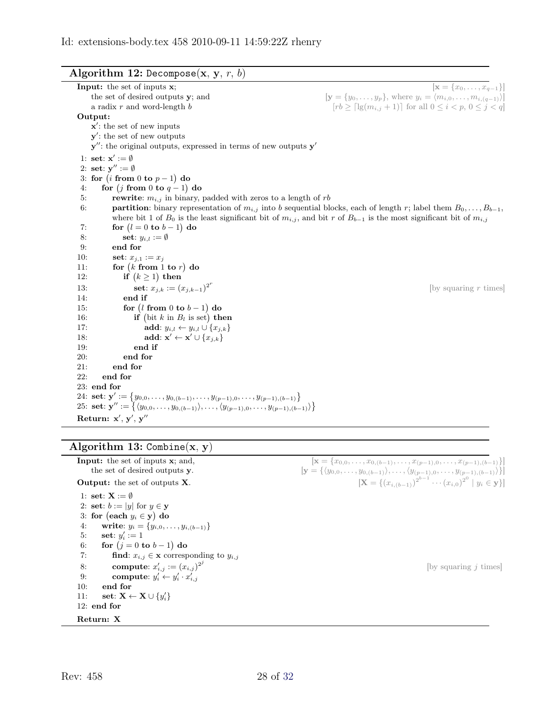| <b>Algorithm 12:</b> Decompose $(\mathbf{x}, \mathbf{y}, r, b)$ |  |
|-----------------------------------------------------------------|--|
|                                                                 |  |

<span id="page-27-0"></span>

| $[\mathbf{x} = \{x_0, \ldots, x_{q-1}\}]$<br><b>Input:</b> the set of inputs $x$ ;                                                                  |
|-----------------------------------------------------------------------------------------------------------------------------------------------------|
| $[\mathbf{y} = \{y_0, \ldots, y_p\},\$ where $y_i = \langle m_{i,0}, \ldots, m_{i,(q-1)}\rangle]$<br>the set of desired outputs y; and              |
| $[rb \geq \lceil \lg(m_{i,j} + 1) \rceil]$ for all $0 \leq i < p, 0 \leq j < q$<br>a radix $r$ and word-length $b$                                  |
| Output:                                                                                                                                             |
| $x'$ : the set of new inputs                                                                                                                        |
| $\mathbf{y}'$ : the set of new outputs                                                                                                              |
| $\mathbf{y}''$ : the original outputs, expressed in terms of new outputs $\mathbf{y}'$                                                              |
| 1: set: $\mathbf{x}' := \emptyset$                                                                                                                  |
| 2: set: $y'' := \emptyset$                                                                                                                          |
| 3: for $(i \text{ from } 0 \text{ to } p-1)$ do                                                                                                     |
| 4:<br>for $(j \text{ from } 0 \text{ to } q-1)$ do                                                                                                  |
| 5:<br><b>rewrite:</b> $m_{i,j}$ in binary, padded with zeros to a length of rb                                                                      |
| 6:<br><b>partition:</b> binary representation of $m_{i,j}$ into b sequential blocks, each of length r; label them $B_0, \ldots, B_{b-1}$ ,          |
| where bit 1 of $B_0$ is the least significant bit of $m_{i,j}$ , and bit r of $B_{b-1}$ is the most significant bit of $m_{i,j}$                    |
| 7:<br>for $(l = 0$ to $b - 1)$ do                                                                                                                   |
| 8:<br>set: $y_{i,l} := \emptyset$                                                                                                                   |
| end for<br>9:                                                                                                                                       |
| 10:<br>set: $x_{j,1} := x_j$                                                                                                                        |
| for $(k \text{ from } 1 \text{ to } r)$ do<br>11:                                                                                                   |
| if $(k \geq 1)$ then<br>12:                                                                                                                         |
| set: $x_{j,k} := (x_{j,k-1})^{2^r}$<br>13:<br>[by squaring $r$ times]                                                                               |
| 14:<br>end if                                                                                                                                       |
| for $(l \text{ from } 0 \text{ to } b-1)$ do<br>15:                                                                                                 |
| if (bit k in $B_l$ is set) then<br>16:                                                                                                              |
| 17:<br>add: $y_{i,l} \leftarrow y_{i,l} \cup \{x_{j,k}\}\$                                                                                          |
| 18:<br>add: $\mathbf{x}' \leftarrow \mathbf{x}' \cup \{x_{j,k}\}\$                                                                                  |
| 19:<br>end if                                                                                                                                       |
| end for<br>20:                                                                                                                                      |
| 21:<br>end for                                                                                                                                      |
| 22:<br>end for                                                                                                                                      |
| 23: end for                                                                                                                                         |
| 24: <b>set</b> : $\mathbf{y}' := \{y_{0,0}, \ldots, y_{0,(b-1)}, \ldots, y_{(p-1),0}, \ldots, y_{(p-1),(b-1)}\}$                                    |
| 25: <b>set</b> : $\mathbf{y}'' := \{ \langle y_{0,0}, \ldots, y_{0,(b-1)} \rangle, \ldots, \langle y_{(p-1),0}, \ldots, y_{(p-1),(b-1)} \rangle \}$ |
| Return: $x', y', y''$                                                                                                                               |

# Algorithm 13:  $\text{Combine}(x, y)$

<span id="page-27-1"></span>

| Input: the set of inputs x; and,                                       | $[\mathbf{x} = \{x_{0,0}, \ldots, x_{0,(b-1)}, \ldots, x_{(p-1),0}, \ldots, x_{(p-1),(b-1)}\}]$                               |
|------------------------------------------------------------------------|-------------------------------------------------------------------------------------------------------------------------------|
| the set of desired outputs y.                                          | $[\mathbf{y} = {\langle y_{0,0}, \ldots, y_{0,(b-1)} \rangle, \ldots, \langle y_{(p-1),0}, \ldots, y_{(p-1),(b-1)} \rangle}]$ |
| <b>Output:</b> the set of outputs $X$ .                                | $[\mathbf{X} = \{(x_{i,(b-1)})^{2^{b-1}} \cdots (x_{i,0})^{2^0} \mid y_i \in \mathbf{y}\}]$                                   |
| 1: set: $X := \emptyset$                                               |                                                                                                                               |
| 2: set: $b :=  y $ for $y \in y$                                       |                                                                                                                               |
| 3: for (each $y_i \in y$ ) do                                          |                                                                                                                               |
| write: $y_i = \{y_{i,0}, \ldots, y_{i,(b-1)}\}$<br>4:                  |                                                                                                                               |
| 5:<br>set: $y_i' := 1$                                                 |                                                                                                                               |
| for $(j = 0$ to $b-1)$ do<br>6:                                        |                                                                                                                               |
| 7:<br><b>find:</b> $x_{i,j} \in \mathbf{x}$ corresponding to $y_{i,j}$ |                                                                                                                               |
| <b>compute:</b> $x'_{i,j} := (x_{i,j})^{2^{j}}$<br>8:                  | by squaring $i$ times                                                                                                         |
| 9:<br>compute: $y'_i \leftarrow y'_i \cdot x'_{i,i}$                   |                                                                                                                               |
| 10:<br>end for                                                         |                                                                                                                               |
| 11:<br>set: $\mathbf{X} \leftarrow \mathbf{X} \cup \{y_i'\}$           |                                                                                                                               |
| $12:$ end for                                                          |                                                                                                                               |
| Return: X                                                              |                                                                                                                               |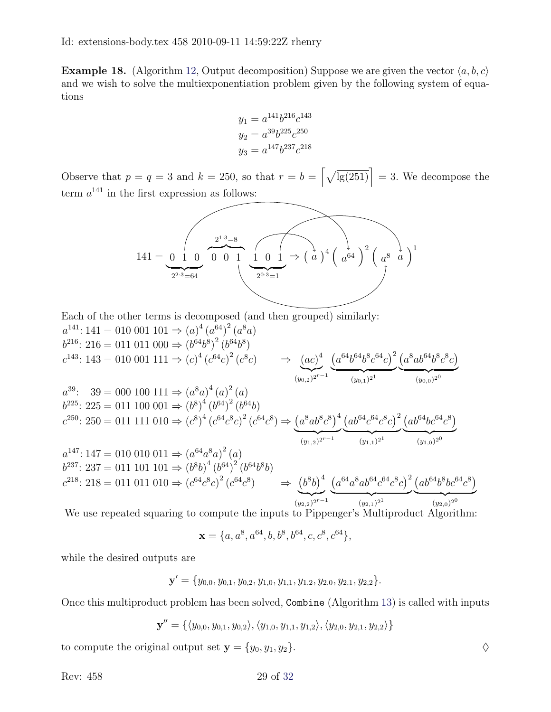<span id="page-28-0"></span>**Example 18.** (Algorithm [12,](#page-27-0) Output decomposition) Suppose we are given the vector  $\langle a, b, c \rangle$ and we wish to solve the multiexponentiation problem given by the following system of equations

$$
y_1 = a^{141}b^{216}c^{143}
$$
  
\n
$$
y_2 = a^{39}b^{225}c^{250}
$$
  
\n
$$
y_3 = a^{147}b^{237}c^{218}
$$

Observe that  $p = q = 3$  and  $k = 250$ , so that  $r = b = \left[\sqrt{\lg(251)}\right] = 3$ . We decompose the term  $a^{141}$  in the first expression as follows:

$$
141 = \underbrace{0 \ 1 \ 0}_{2^{2 \cdot 3} = 64} \underbrace{0 \ 0 \ 1 \ 1 \ 0 \ 1}_{2^{0 \cdot 3} = 1} \Rightarrow \left(a\right)^4 \left(a^{64}\right)^2 \left(a^8 \ a\right)^1
$$

Each of the other terms is decomposed (and then grouped) similarly:

$$
a^{141}: 141 = 010 \t001 \t101 \Rightarrow (a)^4 (a^{64})^2 (a^{8}a)
$$
\n
$$
b^{216}: 216 = 011 \t011 \t000 \Rightarrow (b^{64}b^8)^2 (b^{64}b^8)
$$
\n
$$
c^{143}: 143 = 010 \t001 \t111 \Rightarrow (c)^4 (c^{64}c)^2 (c^8c) \Rightarrow (ac)^4 (ac^{64}b^6b^6c^6c)^2 (a^8ab^6b^8c^8c)
$$
\n
$$
a^{39}: 39 = 000 \t100 \t111 \Rightarrow (a^8a)^4 (a)^2 (a)
$$
\n
$$
b^{225}: 225 = 011 \t100 \t001 \Rightarrow (b^8)^4 (b^{64})^2 (b^{64}b)
$$
\n
$$
c^{250}: 250 = 011 \t111 \t010 \Rightarrow (c^8)^4 (c^{64}c^8c)^2 (c^{64}c^8) \Rightarrow (a^8ab^8c^8)^4 (ab^{64}c^6ac^8c)^2 (ab^{64}bc^{64}c^8)
$$
\n
$$
a^{147}: 147 = 010 \t010 \t011 \Rightarrow (a^{64}a^8a)^2 (a)
$$
\n
$$
b^{237}: 237 = 011 \t101 \t101 \Rightarrow (b^8b)^4 (b^{64})^2 (b^{64}b^8b)
$$
\n
$$
c^{218}: 218 = 011 \t011 \t010 \Rightarrow (c^{64}c^8c)^2 (c^{64}c^8) \Rightarrow (b^8b)^4 (a^{64}a^8ab^6a^6c^6c)^2 (ab^{64}b^8bc^6a^8c)
$$
\n
$$
a^{148}: 218 = 011 \t011 \t010 \Rightarrow (c^{64}c^8c)^2 (c^{64}c^8) \Rightarrow (b^8b)^4 (a^{64}a^8ab^6a^6c^6c)^2 (ab^{64}b^8bc^6a^8c)
$$
\n
$$
a^{148}: 218 = 011 \
$$

We use repeated squaring to compute the inputs to Pippenger's Multiproduct Algorithm:

$$
\mathbf{x} = \{a, a^8, a^{64}, b, b^8, b^{64}, c, c^8, c^{64}\},\
$$

while the desired outputs are

$$
\mathbf{y}' = \{y_{0,0}, y_{0,1}, y_{0,2}, y_{1,0}, y_{1,1}, y_{1,2}, y_{2,0}, y_{2,1}, y_{2,2}\}.
$$

Once this multiproduct problem has been solved, Combine (Algorithm [13\)](#page-27-1) is called with inputs

$$
\mathbf{y}'' = \{ \langle y_{0,0}, y_{0,1}, y_{0,2} \rangle, \langle y_{1,0}, y_{1,1}, y_{1,2} \rangle, \langle y_{2,0}, y_{2,1}, y_{2,2} \rangle \}
$$

to compute the original output set  $y = \{y_0, y_1, y_2\}.$ 

Rev: 458 29 of [32](#page-31-1)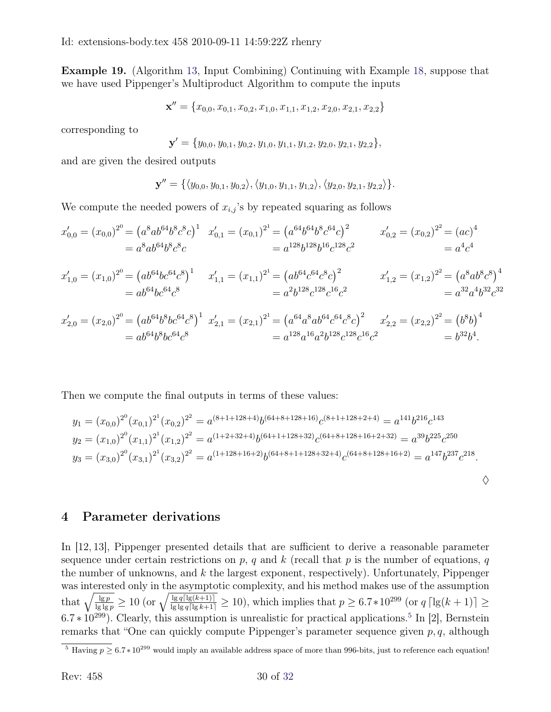Example 19. (Algorithm [13,](#page-27-1) Input Combining) Continuing with Example [18,](#page-28-0) suppose that we have used Pippenger's Multiproduct Algorithm to compute the inputs

$$
\mathbf{x}'' = \{x_{0,0}, x_{0,1}, x_{0,2}, x_{1,0}, x_{1,1}, x_{1,2}, x_{2,0}, x_{2,1}, x_{2,2}\}
$$

corresponding to

$$
\mathbf{y}' = \{y_{0,0}, y_{0,1}, y_{0,2}, y_{1,0}, y_{1,1}, y_{1,2}, y_{2,0}, y_{2,1}, y_{2,2}\},\
$$

and are given the desired outputs

$$
\mathbf{y}'' = \{ \langle y_{0,0}, y_{0,1}, y_{0,2} \rangle, \langle y_{1,0}, y_{1,1}, y_{1,2} \rangle, \langle y_{2,0}, y_{2,1}, y_{2,2} \rangle \}.
$$

We compute the needed powers of  $x_{i,j}$ 's by repeated squaring as follows

$$
x'_{0,0} = (x_{0,0})^{2^0} = (a^8ab^{64}b^8c^8c)^1
$$
  
=  $a^8ab^{64}b^8c^8c$   

$$
= a^{128}b^{128}b^{16}c^{128}c^2
$$
  

$$
= a^4c^4
$$
  

$$
x'_{0,2} = (x_{0,2})^{2^2} = (ac)^4
$$
  

$$
= a^4c^4
$$

$$
x'_{1,0} = (x_{1,0})^{2^0} = (ab^{64}bc^{64}c^8)^1
$$
  
=  $ab^{64}bc^{64}c^8$   

$$
= ab^{64}bc^{64}c^8
$$
  

$$
x'_{1,1} = (x_{1,1})^{2^1} = (ab^{64}c^{64}c^8c)^2
$$
  
=  $a^2b^{128}c^{128}c^{16}c^2$   

$$
x'_{1,2} = (x_{1,2})^{2^2} = (a^8ab^8c^8)^4
$$
  
=  $a^{32}a^4b^{32}c^{32}$ 

$$
x'_{2,0} = (x_{2,0})^{2^0} = (ab^{64}b^8bc^{64}c^8)^1
$$
  
= 
$$
ab^{64}b^8bc^{64}c^8
$$
  
= 
$$
a^{128}a^{16}a^2b^{128}c^{128}c^{16}c^2
$$
  
= 
$$
a^{128}a^{16}a^2b^{128}c^{128}c^{16}c^2
$$
  
= 
$$
b^{32}b^4
$$
.

Then we compute the final outputs in terms of these values:

$$
y_1 = (x_{0,0})^{2^0} (x_{0,1})^{2^1} (x_{0,2})^{2^2} = a^{(8+1+128+4)} b^{(64+8+128+16)} c^{(8+1+128+2+4)} = a^{141} b^{216} c^{143}
$$
  
\n
$$
y_2 = (x_{1,0})^{2^0} (x_{1,1})^{2^1} (x_{1,2})^{2^2} = a^{(1+2+32+4)} b^{(64+1+128+32)} c^{(64+8+128+16+2+32)} = a^{39} b^{225} c^{250}
$$
  
\n
$$
y_3 = (x_{3,0})^{2^0} (x_{3,1})^{2^1} (x_{3,2})^{2^2} = a^{(1+128+16+2)} b^{(64+8+1+128+32+4)} c^{(64+8+128+16+2)} = a^{147} b^{237} c^{218}.
$$

 $\Diamond$ 

## <span id="page-29-0"></span>4 Parameter derivations

In [\[12,](#page-31-0) [13\]](#page-31-2), Pippenger presented details that are sufficient to derive a reasonable parameter sequence under certain restrictions on p, q and k (recall that p is the number of equations, q the number of unknowns, and  $k$  the largest exponent, respectively). Unfortunately, Pippenger was interested only in the asymptotic complexity, and his method makes use of the assumption that  $\sqrt{\frac{\lg p}{\lg \lg p}} \ge 10$  (or  $\sqrt{\frac{\lg q(\lg(k+1))}{\lg \lg q(\lg(k+1))}} \ge 10$ ), which implies that  $p \ge 6.7*10^{299}$  (or  $q \lceil \lg(k+1) \rceil \ge 10$ )  $6.7 * 10^{299}$ ). Clearly, this assumption is unrealistic for practical applications.<sup>[5](#page-29-1)</sup> In [\[2\]](#page-30-7), Bernstein remarks that "One can quickly compute Pippenger's parameter sequence given  $p, q$ , although

<span id="page-29-1"></span><sup>&</sup>lt;sup>5</sup> Having  $p \ge 6.7 * 10^{299}$  would imply an available address space of more than 996-bits, just to reference each equation!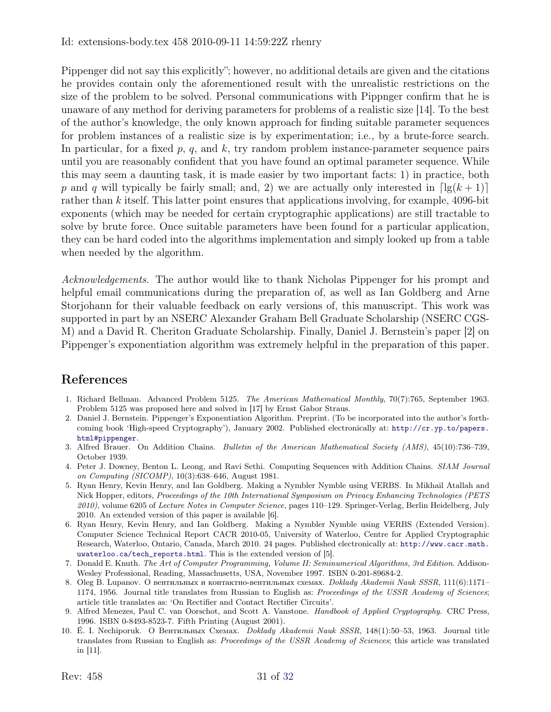#### Id: extensions-body.tex 458 2010-09-11 14:59:22Z rhenry

Pippenger did not say this explicitly"; however, no additional details are given and the citations he provides contain only the aforementioned result with the unrealistic restrictions on the size of the problem to be solved. Personal communications with Pippnger confirm that he is unaware of any method for deriving parameters for problems of a realistic size [\[14\]](#page-31-7). To the best of the author's knowledge, the only known approach for finding suitable parameter sequences for problem instances of a realistic size is by experimentation; i.e., by a brute-force search. In particular, for a fixed p, q, and k, try random problem instance-parameter sequence pairs until you are reasonably confident that you have found an optimal parameter sequence. While this may seem a daunting task, it is made easier by two important facts: 1) in practice, both p and q will typically be fairly small; and, 2) we are actually only interested in  $\lceil \lg(k + 1) \rceil$ rather than k itself. This latter point ensures that applications involving, for example,  $4096$ -bit exponents (which may be needed for certain cryptographic applications) are still tractable to solve by brute force. Once suitable parameters have been found for a particular application, they can be hard coded into the algorithms implementation and simply looked up from a table when needed by the algorithm.

Acknowledgements. The author would like to thank Nicholas Pippenger for his prompt and helpful email communications during the preparation of, as well as Ian Goldberg and Arne Storjohann for their valuable feedback on early versions of, this manuscript. This work was supported in part by an NSERC Alexander Graham Bell Graduate Scholarship (NSERC CGS-M) and a David R. Cheriton Graduate Scholarship. Finally, Daniel J. Bernstein's paper [\[2\]](#page-30-7) on Pippenger's exponentiation algorithm was extremely helpful in the preparation of this paper.

# References

- <span id="page-30-9"></span>1. Richard Bellman. Advanced Problem 5125. The American Mathematical Monthly, 70(7):765, September 1963. Problem 5125 was proposed here and solved in [\[17\]](#page-31-5) by Ernst Gabor Straus.
- <span id="page-30-7"></span>2. Daniel J. Bernstein. Pippenger's Exponentiation Algorithm. Preprint. (To be incorporated into the author's forthcoming book 'High-speed Cryptography'), January 2002. Published electronically at: [http://cr.yp.to/papers.](http://cr.yp.to/papers.html#pippenger) [html#pippenger](http://cr.yp.to/papers.html#pippenger).
- <span id="page-30-6"></span>3. Alfred Brauer. On Addition Chains. Bulletin of the American Mathematical Society (AMS), 45(10):736–739, October 1939.
- <span id="page-30-8"></span>4. Peter J. Downey, Benton L. Leong, and Ravi Sethi. Computing Sequences with Addition Chains. SIAM Journal on Computing (SICOMP), 10(3):638–646, August 1981.
- <span id="page-30-2"></span>5. Ryan Henry, Kevin Henry, and Ian Goldberg. Making a Nymbler Nymble using VERBS. In Mikhail Atallah and Nick Hopper, editors, Proceedings of the 10th International Symposium on Privacy Enhancing Technologies (PETS 2010), volume 6205 of Lecture Notes in Computer Science, pages 110–129. Springer-Verlag, Berlin Heidelberg, July 2010. An extended version of this paper is available [\[6\]](#page-30-3).
- <span id="page-30-3"></span>6. Ryan Henry, Kevin Henry, and Ian Goldberg. Making a Nymbler Nymble using VERBS (Extended Version). Computer Science Technical Report CACR 2010-05, University of Waterloo, Centre for Applied Cryptographic Research, Waterloo, Ontario, Canada, March 2010. 24 pages. Published electronically at: [http://www.cacr.math.](http://www.cacr.math.uwaterloo.ca/tech_reports.html) [uwaterloo.ca/tech\\_reports.html](http://www.cacr.math.uwaterloo.ca/tech_reports.html). This is the extended version of [\[5\]](#page-30-2).
- <span id="page-30-4"></span>7. Donald E. Knuth. The Art of Computer Programming, Volume II: Seminumerical Algorithms, 3rd Edition. Addison-Wesley Professional, Reading, Massachusetts, USA, November 1997. ISBN 0-201-89684-2.
- <span id="page-30-0"></span>8. Oleg B. Lupanov. О вентильных и контактно-вентильных схемах. Doklady Akademii Nauk SSSR, 111(6):1171– 1174, 1956. Journal title translates from Russian to English as: Proceedings of the USSR Academy of Sciences; article title translates as: 'On Rectifier and Contact Rectifier Circuits'.
- <span id="page-30-5"></span>9. Alfred Menezes, Paul C. van Oorschot, and Scott A. Vanstone. Handbook of Applied Cryptography. CRC Press, 1996. ISBN 0-8493-8523-7. Fifth Printing (August 2001).
- <span id="page-30-1"></span>10. É. I. Nechiporuk. О Вентильных Схемах. Doklady Akademii Nauk SSSR, 148(1):50–53, 1963. Journal title translates from Russian to English as: Proceedings of the USSR Academy of Sciences; this article was translated in [\[11\]](#page-31-8).